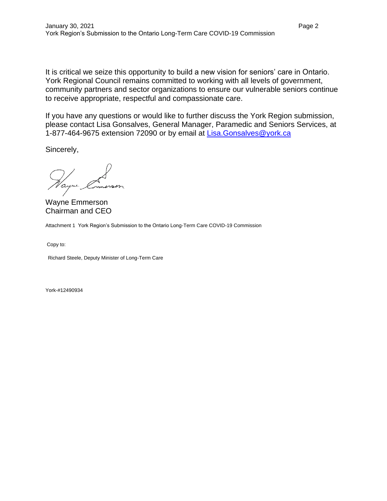It is critical we seize this opportunity to build a new vision for seniors' care in Ontario. York Regional Council remains committed to working with all levels of government, community partners and sector organizations to ensure our vulnerable seniors continue to receive appropriate, respectful and compassionate care.

If you have any questions or would like to further discuss the York Region submission, please contact Lisa Gonsalves, General Manager, Paramedic and Seniors Services, at 1-877-464-9675 extension 72090 or by email at [Lisa.Gonsalves@york.ca](mailto:Lisa.Gonsalves@york.ca)

Sincerely,

Wayne Emmerson Chairman and CEO

Attachment 1 York Region's Submission to the Ontario Long-Term Care COVID-19 Commission

Copy to:

Richard Steele, Deputy Minister of Long-Term Care

York-#12490934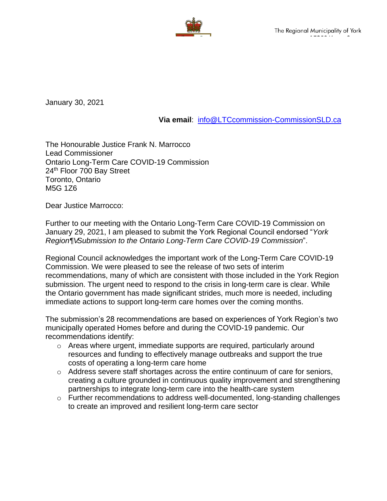January 30, 2021

**Via email**: info@LTCcommission-CommissionSLD.ca

The Honourable Justice Frank N. Marrocco Lead Commissioner Ontario Long-Term Care COVID-19 Commission 24<sup>th</sup> Floor 700 Bay Street Toronto, Ontario M5G 1Z6

Dear Justice Marrocco:

Further to our meeting with the Ontario Long-Term Care COVID-19 Commission on January 29, 2021, I am pleased to submit the York Regional Council endorsed "*York Region Submission to the Ontario Long-Term Care COVID-19 Commission*".

Regional Council acknowledges the important work of the Long-Term Care COVID-19 Commission. We were pleased to see the release of two sets of interim recommendations, many of which are consistent with those included in the York Region submission. The urgent need to respond to the crisis in long-term care is clear. While the Ontario government has made significant strides, much more is needed, including immediate actions to support long-term care homes over the coming months.

The submission's 28 recommendations are based on experiences of York Region's two municipally operated Homes before and during the COVID-19 pandemic. Our recommendations identify:

- o Areas where urgent, immediate supports are required, particularly around resources and funding to effectively manage outbreaks and support the true costs of operating a long-term care home
- o Address severe staff shortages across the entire continuum of care for seniors, creating a culture grounded in continuous quality improvement and strengthening partnerships to integrate long-term care into the health-care system
- o Further recommendations to address well-documented, long-standing challenges to create an improved and resilient long-term care sector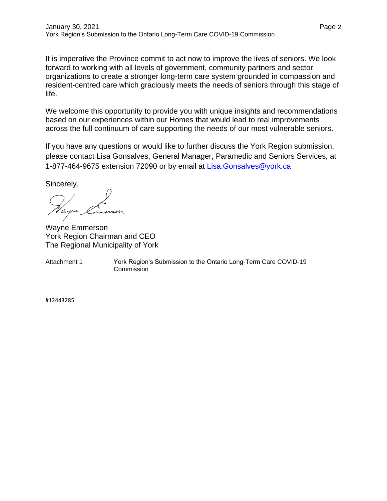It is imperative the Province commit to act now to improve the lives of seniors. We look forward to working with all levels of government, community partners and sector organizations to create a stronger long-term care system grounded in compassion and resident-centred care which graciously meets the needs of seniors through this stage of life.

We welcome this opportunity to provide you with unique insights and recommendations based on our experiences within our Homes that would lead to real improvements across the full continuum of care supporting the needs of our most vulnerable seniors.

If you have any questions or would like to further discuss the York Region submission, please contact Lisa Gonsalves, General Manager, Paramedic and Seniors Services, at 1-877-464-9675 extension 72090 or by email at **Lisa. Gonsalves@york.ca** 

Sincerely,

Wayne Emmerson York Region Chairman and CEO The Regional Municipality of York

Attachment 1 York Region's Submission to the Ontario Long-Term Care COVID-19 **Commission** 

#12443285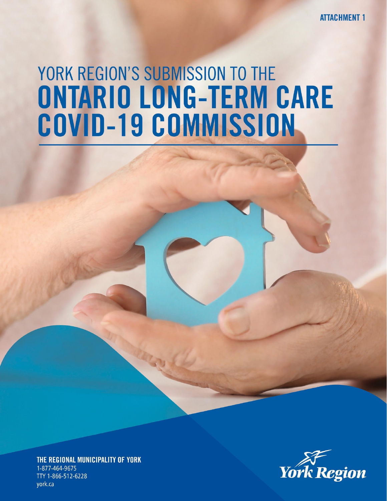**ATTACHMENT 1** 

# YORK REGION'S SUBMISSION TO THE ONTARIO LONG-TERM CARE **COVID-19 COMMISSION**

THE REGIONAL MUNICIPALITY OF YORK 1-877-464-9675 TTY 1-866-512-6228 york.ca

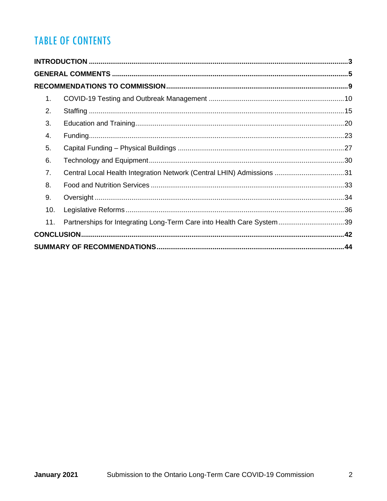# **TABLE OF CONTENTS**

|                                                               | 1.  |                                                                       |  |
|---------------------------------------------------------------|-----|-----------------------------------------------------------------------|--|
|                                                               | 2.  |                                                                       |  |
|                                                               | 3.  |                                                                       |  |
|                                                               | 4.  |                                                                       |  |
|                                                               | 5.  |                                                                       |  |
|                                                               | 6.  |                                                                       |  |
|                                                               | 7.  | Central Local Health Integration Network (Central LHIN) Admissions 31 |  |
|                                                               | 8.  |                                                                       |  |
|                                                               | 9.  |                                                                       |  |
|                                                               | 10. |                                                                       |  |
|                                                               | 11. | Partnerships for Integrating Long-Term Care into Health Care System39 |  |
|                                                               |     |                                                                       |  |
| SUMMARY OF RECOMMENDATIONS………………………………………………………………………………………44 |     |                                                                       |  |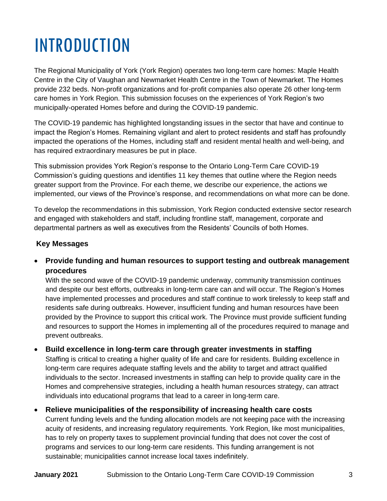# <span id="page-6-0"></span>INTRODUCTION

The Regional Municipality of York (York Region) operates two long-term care homes: Maple Health Centre in the City of Vaughan and Newmarket Health Centre in the Town of Newmarket. The Homes provide 232 beds. Non-profit organizations and for-profit companies also operate 26 other long-term care homes in York Region. This submission focuses on the experiences of York Region's two municipally-operated Homes before and during the COVID-19 pandemic.

The COVID-19 pandemic has highlighted longstanding issues in the sector that have and continue to impact the Region's Homes. Remaining vigilant and alert to protect residents and staff has profoundly impacted the operations of the Homes, including staff and resident mental health and well-being, and has required extraordinary measures be put in place.

This submission provides York Region's response to the Ontario Long-Term Care COVID-19 Commission's guiding questions and identifies 11 key themes that outline where the Region needs greater support from the Province. For each theme, we describe our experience, the actions we implemented, our views of the Province's response, and recommendations on what more can be done.

To develop the recommendations in this submission, York Region conducted extensive sector research and engaged with stakeholders and staff, including frontline staff, management, corporate and departmental partners as well as executives from the Residents' Councils of both Homes.

#### **Key Messages**

• **Provide funding and human resources to support testing and outbreak management procedures**

With the second wave of the COVID-19 pandemic underway, community transmission continues and despite our best efforts, outbreaks in long-term care can and will occur. The Region's Homes have implemented processes and procedures and staff continue to work tirelessly to keep staff and residents safe during outbreaks. However, insufficient funding and human resources have been provided by the Province to support this critical work. The Province must provide sufficient funding and resources to support the Homes in implementing all of the procedures required to manage and prevent outbreaks.

#### • **Build excellence in long-term care through greater investments in staffing**

Staffing is critical to creating a higher quality of life and care for residents. Building excellence in long-term care requires adequate staffing levels and the ability to target and attract qualified individuals to the sector. Increased investments in staffing can help to provide quality care in the Homes and comprehensive strategies, including a health human resources strategy, can attract individuals into educational programs that lead to a career in long-term care.

• **Relieve municipalities of the responsibility of increasing health care costs** Current funding levels and the funding allocation models are not keeping pace with the increasing

acuity of residents, and increasing regulatory requirements. York Region, like most municipalities, has to rely on property taxes to supplement provincial funding that does not cover the cost of programs and services to our long-term care residents. This funding arrangement is not sustainable; municipalities cannot increase local taxes indefinitely.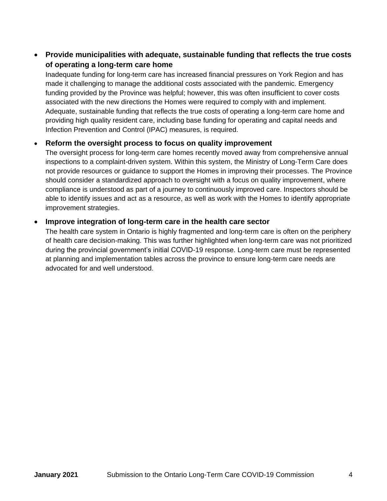#### • **Provide municipalities with adequate, sustainable funding that reflects the true costs of operating a long-term care home**

Inadequate funding for long-term care has increased financial pressures on York Region and has made it challenging to manage the additional costs associated with the pandemic. Emergency funding provided by the Province was helpful; however, this was often insufficient to cover costs associated with the new directions the Homes were required to comply with and implement. Adequate, sustainable funding that reflects the true costs of operating a long-term care home and providing high quality resident care, including base funding for operating and capital needs and Infection Prevention and Control (IPAC) measures, is required.

#### • **Reform the oversight process to focus on quality improvement**

The oversight process for long-term care homes recently moved away from comprehensive annual inspections to a complaint-driven system. Within this system, the Ministry of Long-Term Care does not provide resources or guidance to support the Homes in improving their processes. The Province should consider a standardized approach to oversight with a focus on quality improvement, where compliance is understood as part of a journey to continuously improved care. Inspectors should be able to identify issues and act as a resource, as well as work with the Homes to identify appropriate improvement strategies.

#### • **Improve integration of long-term care in the health care sector**

The health care system in Ontario is highly fragmented and long-term care is often on the periphery of health care decision-making. This was further highlighted when long-term care was not prioritized during the provincial government's initial COVID-19 response. Long-term care must be represented at planning and implementation tables across the province to ensure long-term care needs are advocated for and well understood.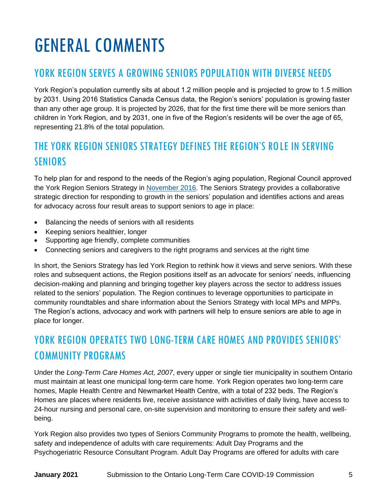# <span id="page-8-0"></span>GENERAL COMMENTS

# YORK REGION SERVES A GROWING SENIORS POPULATION WITH DIVERSE NEEDS

York Region's population currently sits at about 1.2 million people and is projected to grow to 1.5 million by 2031. Using 2016 Statistics Canada Census data, the Region's seniors' population is growing faster than any other age group. It is projected by 2026, that for the first time there will be more seniors than children in York Region, and by 2031, one in five of the Region's residents will be over the age of 65, representing 21.8% of the total population.

# THE YORK REGION SENIORS STRATEGY DEFINES THE REGION'S ROLE IN SERVING **SENIORS**

To help plan for and respond to the needs of the Region's aging population, Regional Council approved the York Region Seniors Strategy in [November 2016.](https://www.york.ca/wps/wcm/connect/yorkpublic/110d7b6b-daed-4c7b-82e4-5ffa0a1f2b3e/nov+3+seniors+ex.pdf?MOD=AJPERES&CVID=mu8mpcG) The Seniors Strategy provides a collaborative strategic direction for responding to growth in the seniors' population and identifies actions and areas for advocacy across four result areas to support seniors to age in place:

- Balancing the needs of seniors with all residents
- Keeping seniors healthier, longer
- Supporting age friendly, complete communities
- Connecting seniors and caregivers to the right programs and services at the right time

In short, the Seniors Strategy has led York Region to rethink how it views and serve seniors. With these roles and subsequent actions, the Region positions itself as an advocate for seniors' needs, influencing decision-making and planning and bringing together key players across the sector to address issues related to the seniors' population. The Region continues to leverage opportunities to participate in community roundtables and share information about the Seniors Strategy with local MPs and MPPs. The Region's actions, advocacy and work with partners will help to ensure seniors are able to age in place for longer.

# YORK REGION OPERATES TWO LONG-TERM CARE HOMES AND PROVIDES SENIORS' COMMUNITY PROGRAMS

Under the *Long-Term Care Homes Act, 2007*, every upper or single tier municipality in southern Ontario must maintain at least one municipal long-term care home. York Region operates two long-term care homes, Maple Health Centre and Newmarket Health Centre, with a total of 232 beds. The Region's Homes are places where residents live, receive assistance with activities of daily living, have access to 24-hour nursing and personal care, on-site supervision and monitoring to ensure their safety and wellbeing.

York Region also provides two types of Seniors Community Programs to promote the health, wellbeing, safety and independence of adults with care requirements: Adult Day Programs and the Psychogeriatric Resource Consultant Program. Adult Day Programs are offered for adults with care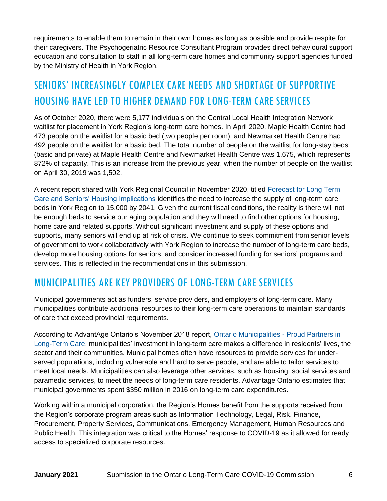requirements to enable them to remain in their own homes as long as possible and provide respite for their caregivers. The Psychogeriatric Resource Consultant Program provides direct behavioural support education and consultation to staff in all long-term care homes and community support agencies funded by the Ministry of Health in York Region.

# SENIORS' INCREASINGLY COMPLEX CARE NEEDS AND SHORTAGE OF SUPPORTIVE HOUSING HAVE LED TO HIGHER DEMAND FOR LONG-TERM CARE SERVICES

As of October 2020, there were 5,177 individuals on the Central Local Health Integration Network waitlist for placement in York Region's long-term care homes. In April 2020, Maple Health Centre had 473 people on the waitlist for a basic bed (two people per room), and Newmarket Health Centre had 492 people on the waitlist for a basic bed. The total number of people on the waitlist for long-stay beds (basic and private) at Maple Health Centre and Newmarket Health Centre was 1,675, which represents 872% of capacity. This is an increase from the previous year, when the number of people on the waitlist on April 30, 2019 was 1,502.

A recent report shared with York Regional Council in November 2020, titled Forecast for Long Term Care and Seniors' Housing Implications identifies the need to increase the supply of long-term care beds in York Region to 15,000 by 2041. Given the current fiscal conditions, the reality is there will not be enough beds to service our aging population and they will need to find other options for housing, home care and related supports. Without significant investment and supply of these options and supports, many seniors will end up at risk of crisis. We continue to seek commitment from senior levels of government to work collaboratively with York Region to increase the number of long-term care beds, develop more housing options for seniors, and consider increased funding for seniors' programs and services. This is reflected in the recommendations in this submission.

### MUNICIPALITIES ARE KEY PROVIDERS OF LONG-TERM CARE SERVICES

Municipal governments act as funders, service providers, and employers of long-term care. Many municipalities contribute additional resources to their long-term care operations to maintain standards of care that exceed provincial requirements.

According to AdvantAge Ontario's November 2018 report, Ontario Municipalities - Proud Partners in Long-Term Care, municipalities' investment in long-term care makes a difference in residents' lives, the sector and their communities. Municipal homes often have resources to provide services for underserved populations, including vulnerable and hard to serve people, and are able to tailor services to meet local needs. Municipalities can also leverage other services, such as housing, social services and paramedic services, to meet the needs of long-term care residents. Advantage Ontario estimates that municipal governments spent \$350 million in 2016 on long-term care expenditures.

Working within a municipal corporation, the Region's Homes benefit from the supports received from the Region's corporate program areas such as Information Technology, Legal, Risk, Finance, Procurement, Property Services, Communications, Emergency Management, Human Resources and Public Health. This integration was critical to the Homes' response to COVID-19 as it allowed for ready access to specialized corporate resources.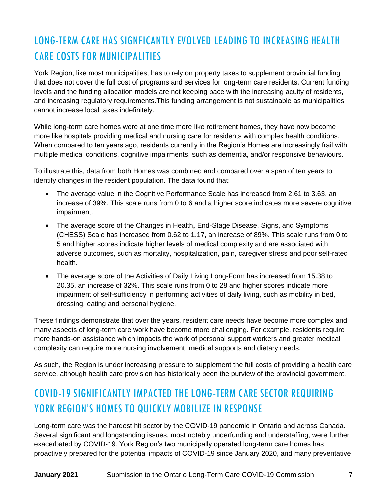# LONG-TERM CARE HAS SIGNFICANTLY EVOLVED LEADING TO INCREASING HEALTH CARE COSTS FOR MUNICIPALITIES

York Region, like most municipalities, has to rely on property taxes to supplement provincial funding that does not cover the full cost of programs and services for long-term care residents. Current funding levels and the funding allocation models are not keeping pace with the increasing acuity of residents, and increasing regulatory requirements.This funding arrangement is not sustainable as municipalities cannot increase local taxes indefinitely.

While long-term care homes were at one time more like retirement homes, they have now become more like hospitals providing medical and nursing care for residents with complex health conditions. When compared to ten years ago, residents currently in the Region's Homes are increasingly frail with multiple medical conditions, cognitive impairments, such as dementia, and/or responsive behaviours.

To illustrate this, data from both Homes was combined and compared over a span of ten years to identify changes in the resident population. The data found that:

- The average value in the Cognitive Performance Scale has increased from 2.61 to 3.63, an increase of 39%. This scale runs from 0 to 6 and a higher score indicates more severe cognitive impairment.
- The average score of the Changes in Health, End-Stage Disease, Signs, and Symptoms (CHESS) Scale has increased from 0.62 to 1.17, an increase of 89%. This scale runs from 0 to 5 and higher scores indicate higher levels of medical complexity and are associated with adverse outcomes, such as mortality, hospitalization, pain, caregiver stress and poor self-rated health.
- The average score of the Activities of Daily Living Long-Form has increased from 15.38 to 20.35, an increase of 32%. This scale runs from 0 to 28 and higher scores indicate more impairment of self-sufficiency in performing activities of daily living, such as mobility in bed, dressing, eating and personal hygiene.

These findings demonstrate that over the years, resident care needs have become more complex and many aspects of long-term care work have become more challenging. For example, residents require more hands-on assistance which impacts the work of personal support workers and greater medical complexity can require more nursing involvement, medical supports and dietary needs.

As such, the Region is under increasing pressure to supplement the full costs of providing a health care service, although health care provision has historically been the purview of the provincial government.

# COVID-19 SIGNIFICANTLY IMPACTED THE LONG-TERM CARE SECTOR REQUIRING YORK REGION'S HOMES TO QUICKLY MOBILIZE IN RESPONSE

Long-term care was the hardest hit sector by the COVID-19 pandemic in Ontario and across Canada. Several significant and longstanding issues, most notably underfunding and understaffing, were further exacerbated by COVID-19. York Region's two municipally operated long-term care homes has proactively prepared for the potential impacts of COVID-19 since January 2020, and many preventative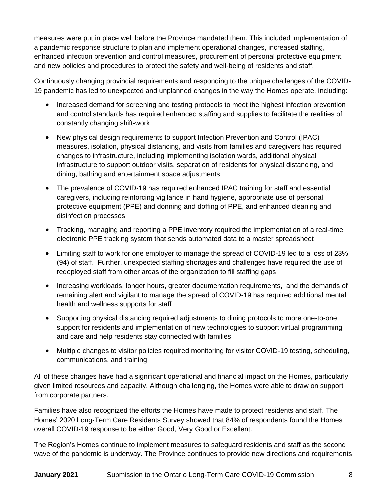measures were put in place well before the Province mandated them. This included implementation of a pandemic response structure to plan and implement operational changes, increased staffing, enhanced infection prevention and control measures, procurement of personal protective equipment, and new policies and procedures to protect the safety and well-being of residents and staff.

Continuously changing provincial requirements and responding to the unique challenges of the COVID-19 pandemic has led to unexpected and unplanned changes in the way the Homes operate, including:

- Increased demand for screening and testing protocols to meet the highest infection prevention and control standards has required enhanced staffing and supplies to facilitate the realities of constantly changing shift-work
- New physical design requirements to support Infection Prevention and Control (IPAC) measures, isolation, physical distancing, and visits from families and caregivers has required changes to infrastructure, including implementing isolation wards, additional physical infrastructure to support outdoor visits, separation of residents for physical distancing, and dining, bathing and entertainment space adjustments
- The prevalence of COVID-19 has required enhanced IPAC training for staff and essential caregivers, including reinforcing vigilance in hand hygiene, appropriate use of personal protective equipment (PPE) and donning and doffing of PPE, and enhanced cleaning and disinfection processes
- Tracking, managing and reporting a PPE inventory required the implementation of a real-time electronic PPE tracking system that sends automated data to a master spreadsheet
- Limiting staff to work for one employer to manage the spread of COVID-19 led to a loss of 23% (94) of staff. Further, unexpected staffing shortages and challenges have required the use of redeployed staff from other areas of the organization to fill staffing gaps
- Increasing workloads, longer hours, greater documentation requirements, and the demands of remaining alert and vigilant to manage the spread of COVID-19 has required additional mental health and wellness supports for staff
- Supporting physical distancing required adjustments to dining protocols to more one-to-one support for residents and implementation of new technologies to support virtual programming and care and help residents stay connected with families
- Multiple changes to visitor policies required monitoring for visitor COVID-19 testing, scheduling, communications, and training

All of these changes have had a significant operational and financial impact on the Homes, particularly given limited resources and capacity. Although challenging, the Homes were able to draw on support from corporate partners.

Families have also recognized the efforts the Homes have made to protect residents and staff. The Homes' 2020 Long-Term Care Residents Survey showed that 84% of respondents found the Homes overall COVID-19 response to be either Good, Very Good or Excellent.

The Region's Homes continue to implement measures to safeguard residents and staff as the second wave of the pandemic is underway. The Province continues to provide new directions and requirements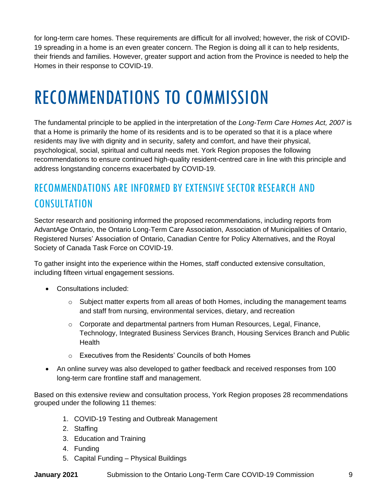for long-term care homes. These requirements are difficult for all involved; however, the risk of COVID-19 spreading in a home is an even greater concern. The Region is doing all it can to help residents, their friends and families. However, greater support and action from the Province is needed to help the Homes in their response to COVID-19.

# <span id="page-12-0"></span>RECOMMENDATIONS TO COMMISSION

The fundamental principle to be applied in the interpretation of the *Long-Term Care Homes Act, 2007* is that a Home is primarily the home of its residents and is to be operated so that it is a place where residents may live with dignity and in security, safety and comfort, and have their physical, psychological, social, spiritual and cultural needs met. York Region proposes the following recommendations to ensure continued high-quality resident-centred care in line with this principle and address longstanding concerns exacerbated by COVID-19.

# RECOMMENDATIONS ARE INFORMED BY EXTENSIVE SECTOR RESEARCH AND CONSULTATION

Sector research and positioning informed the proposed recommendations, including reports from AdvantAge Ontario, the Ontario Long-Term Care Association, Association of Municipalities of Ontario, Registered Nurses' Association of Ontario, Canadian Centre for Policy Alternatives, and the Royal Society of Canada Task Force on COVID-19.

To gather insight into the experience within the Homes, staff conducted extensive consultation, including fifteen virtual engagement sessions.

- Consultations included:
	- $\circ$  Subject matter experts from all areas of both Homes, including the management teams and staff from nursing, environmental services, dietary, and recreation
	- $\circ$  Corporate and departmental partners from Human Resources, Legal, Finance, Technology, Integrated Business Services Branch, Housing Services Branch and Public **Health**
	- o Executives from the Residents' Councils of both Homes
- An online survey was also developed to gather feedback and received responses from 100 long-term care frontline staff and management.

Based on this extensive review and consultation process, York Region proposes 28 recommendations grouped under the following 11 themes:

- 1. COVID-19 Testing and Outbreak Management
- 2. Staffing
- 3. Education and Training
- 4. Funding
- 5. Capital Funding Physical Buildings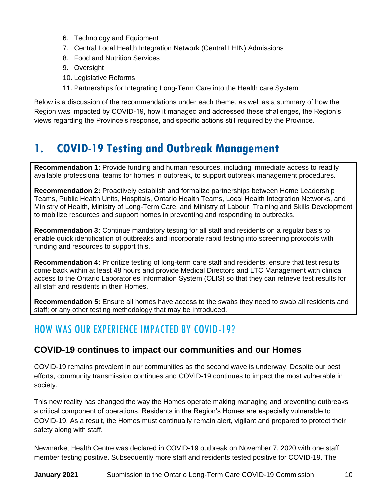- 6. Technology and Equipment
- 7. Central Local Health Integration Network (Central LHIN) Admissions
- 8. Food and Nutrition Services
- 9. Oversight
- 10. Legislative Reforms
- 11. Partnerships for Integrating Long-Term Care into the Health care System

Below is a discussion of the recommendations under each theme, as well as a summary of how the Region was impacted by COVID-19, how it managed and addressed these challenges, the Region's views regarding the Province's response, and specific actions still required by the Province.

# <span id="page-13-0"></span>**1. COVID-19 Testing and Outbreak Management**

**Recommendation 1:** Provide funding and human resources, including immediate access to readily available professional teams for homes in outbreak, to support outbreak management procedures.

**Recommendation 2:** Proactively establish and formalize partnerships between Home Leadership Teams, Public Health Units, Hospitals, Ontario Health Teams, Local Health Integration Networks, and Ministry of Health, Ministry of Long-Term Care, and Ministry of Labour, Training and Skills Development to mobilize resources and support homes in preventing and responding to outbreaks.

**Recommendation 3:** Continue mandatory testing for all staff and residents on a regular basis to enable quick identification of outbreaks and incorporate rapid testing into screening protocols with funding and resources to support this.

**Recommendation 4:** Prioritize testing of long-term care staff and residents, ensure that test results come back within at least 48 hours and provide Medical Directors and LTC Management with clinical access to the Ontario Laboratories Information System (OLIS) so that they can retrieve test results for all staff and residents in their Homes.

**Recommendation 5:** Ensure all homes have access to the swabs they need to swab all residents and staff; or any other testing methodology that may be introduced.

# HOW WAS OUR EXPERIENCE IMPACTED BY COVID-19?

### **COVID-19 continues to impact our communities and our Homes**

COVID-19 remains prevalent in our communities as the second wave is underway. Despite our best efforts, community transmission continues and COVID-19 continues to impact the most vulnerable in society.

This new reality has changed the way the Homes operate making managing and preventing outbreaks a critical component of operations. Residents in the Region's Homes are especially vulnerable to COVID-19. As a result, the Homes must continually remain alert, vigilant and prepared to protect their safety along with staff.

Newmarket Health Centre was declared in COVID-19 outbreak on November 7, 2020 with one staff member testing positive. Subsequently more staff and residents tested positive for COVID-19. The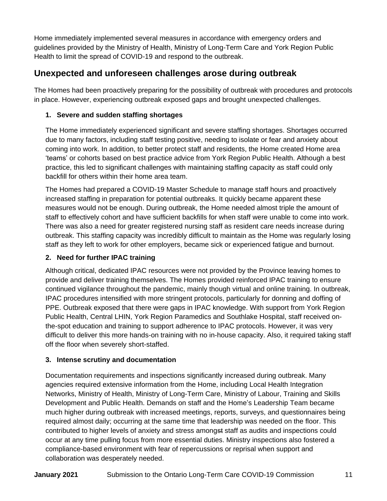Home immediately implemented several measures in accordance with emergency orders and guidelines provided by the Ministry of Health, Ministry of Long-Term Care and York Region Public Health to limit the spread of COVID-19 and respond to the outbreak.

### **Unexpected and unforeseen challenges arose during outbreak**

The Homes had been proactively preparing for the possibility of outbreak with procedures and protocols in place. However, experiencing outbreak exposed gaps and brought unexpected challenges.

#### **1. Severe and sudden staffing shortages**

The Home immediately experienced significant and severe staffing shortages. Shortages occurred due to many factors, including staff testing positive, needing to isolate or fear and anxiety about coming into work. In addition, to better protect staff and residents, the Home created Home area 'teams' or cohorts based on best practice advice from York Region Public Health. Although a best practice, this led to significant challenges with maintaining staffing capacity as staff could only backfill for others within their home area team.

The Homes had prepared a COVID-19 Master Schedule to manage staff hours and proactively increased staffing in preparation for potential outbreaks. It quickly became apparent these measures would not be enough. During outbreak, the Home needed almost triple the amount of staff to effectively cohort and have sufficient backfills for when staff were unable to come into work. There was also a need for greater registered nursing staff as resident care needs increase during outbreak. This staffing capacity was incredibly difficult to maintain as the Home was regularly losing staff as they left to work for other employers, became sick or experienced fatigue and burnout.

#### **2. Need for further IPAC training**

Although critical, dedicated IPAC resources were not provided by the Province leaving homes to provide and deliver training themselves. The Homes provided reinforced IPAC training to ensure continued vigilance throughout the pandemic, mainly though virtual and online training. In outbreak, IPAC procedures intensified with more stringent protocols, particularly for donning and doffing of PPE. Outbreak exposed that there were gaps in IPAC knowledge. With support from York Region Public Health, Central LHIN, York Region Paramedics and Southlake Hospital, staff received onthe-spot education and training to support adherence to IPAC protocols. However, it was very difficult to deliver this more hands-on training with no in-house capacity. Also, it required taking staff off the floor when severely short-staffed.

#### **3. Intense scrutiny and documentation**

Documentation requirements and inspections significantly increased during outbreak. Many agencies required extensive information from the Home, including Local Health Integration Networks, Ministry of Health, Ministry of Long-Term Care, Ministry of Labour, Training and Skills Development and Public Health. Demands on staff and the Home's Leadership Team became much higher during outbreak with increased meetings, reports, surveys, and questionnaires being required almost daily; occurring at the same time that leadership was needed on the floor. This contributed to higher levels of anxiety and stress amongst staff as audits and inspections could occur at any time pulling focus from more essential duties. Ministry inspections also fostered a compliance-based environment with fear of repercussions or reprisal when support and collaboration was desperately needed.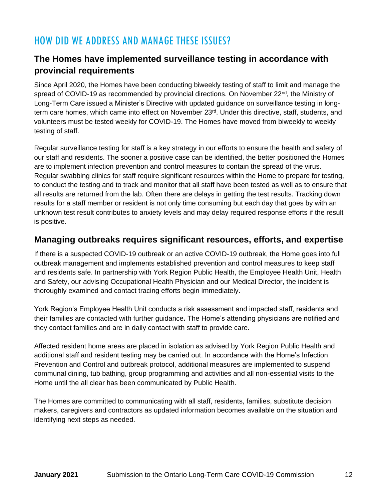## HOW DID WE ADDRESS AND MANAGE THESE ISSUES?

### **The Homes have implemented surveillance testing in accordance with provincial requirements**

Since April 2020, the Homes have been conducting biweekly testing of staff to limit and manage the spread of COVID-19 as recommended by provincial directions. On November 22<sup>nd</sup>, the Ministry of Long-Term Care issued a Minister's Directive with updated guidance on surveillance testing in longterm care homes, which came into effect on November 23rd. Under this directive, staff, students, and volunteers must be tested weekly for COVID-19. The Homes have moved from biweekly to weekly testing of staff.

Regular surveillance testing for staff is a key strategy in our efforts to ensure the health and safety of our staff and residents. The sooner a positive case can be identified, the better positioned the Homes are to implement infection prevention and control measures to contain the spread of the virus. Regular swabbing clinics for staff require significant resources within the Home to prepare for testing, to conduct the testing and to track and monitor that all staff have been tested as well as to ensure that all results are returned from the lab. Often there are delays in getting the test results. Tracking down results for a staff member or resident is not only time consuming but each day that goes by with an unknown test result contributes to anxiety levels and may delay required response efforts if the result is positive.

#### **Managing outbreaks requires significant resources, efforts, and expertise**

If there is a suspected COVID-19 outbreak or an active COVID-19 outbreak, the Home goes into full outbreak management and implements established prevention and control measures to keep staff and residents safe. In partnership with York Region Public Health, the Employee Health Unit, Health and Safety, our advising Occupational Health Physician and our Medical Director, the incident is thoroughly examined and contact tracing efforts begin immediately.

York Region's Employee Health Unit conducts a risk assessment and impacted staff, residents and their families are contacted with further guidance**.** The Home's attending physicians are notified and they contact families and are in daily contact with staff to provide care.

Affected resident home areas are placed in isolation as advised by York Region Public Health and additional staff and resident testing may be carried out. In accordance with the Home's Infection Prevention and Control and outbreak protocol, additional measures are implemented to suspend communal dining, tub bathing, group programming and activities and all non-essential visits to the Home until the all clear has been communicated by Public Health.

The Homes are committed to communicating with all staff, residents, families, substitute decision makers, caregivers and contractors as updated information becomes available on the situation and identifying next steps as needed.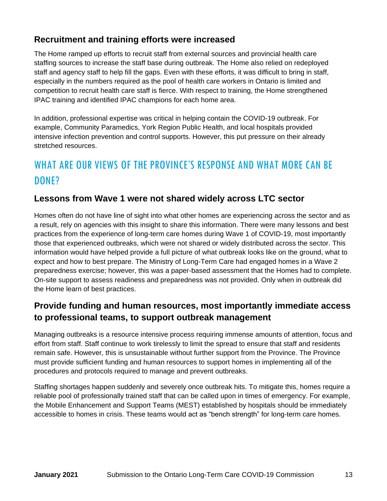### **Recruitment and training efforts were increased**

The Home ramped up efforts to recruit staff from external sources and provincial health care staffing sources to increase the staff base during outbreak. The Home also relied on redeployed staff and agency staff to help fill the gaps. Even with these efforts, it was difficult to bring in staff, especially in the numbers required as the pool of health care workers in Ontario is limited and competition to recruit health care staff is fierce. With respect to training, the Home strengthened IPAC training and identified IPAC champions for each home area.

In addition, professional expertise was critical in helping contain the COVID-19 outbreak. For example, Community Paramedics, York Region Public Health, and local hospitals provided intensive infection prevention and control supports. However, this put pressure on their already stretched resources.

# WHAT ARE OUR VIEWS OF THE PROVINCE'S RESPONSE AND WHAT MORE CAN BE DONE?

### **Lessons from Wave 1 were not shared widely across LTC sector**

Homes often do not have line of sight into what other homes are experiencing across the sector and as a result, rely on agencies with this insight to share this information. There were many lessons and best practices from the experience of long-term care homes during Wave 1 of COVID-19, most importantly those that experienced outbreaks, which were not shared or widely distributed across the sector. This information would have helped provide a full picture of what outbreak looks like on the ground, what to expect and how to best prepare. The Ministry of Long-Term Care had engaged homes in a Wave 2 preparedness exercise; however, this was a paper-based assessment that the Homes had to complete. On-site support to assess readiness and preparedness was not provided. Only when in outbreak did the Home learn of best practices.

### **Provide funding and human resources, most importantly immediate access to professional teams, to support outbreak management**

Managing outbreaks is a resource intensive process requiring immense amounts of attention, focus and effort from staff. Staff continue to work tirelessly to limit the spread to ensure that staff and residents remain safe. However, this is unsustainable without further support from the Province. The Province must provide sufficient funding and human resources to support homes in implementing all of the procedures and protocols required to manage and prevent outbreaks.

Staffing shortages happen suddenly and severely once outbreak hits. To mitigate this, homes require a reliable pool of professionally trained staff that can be called upon in times of emergency. For example, the Mobile Enhancement and Support Teams (MEST) established by hospitals should be immediately accessible to homes in crisis. These teams would act as "bench strength" for long-term care homes.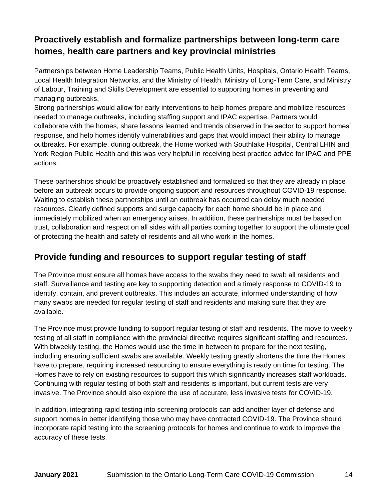### **Proactively establish and formalize partnerships between long-term care homes, health care partners and key provincial ministries**

Partnerships between Home Leadership Teams, Public Health Units, Hospitals, Ontario Health Teams, Local Health Integration Networks, and the Ministry of Health, Ministry of Long-Term Care, and Ministry of Labour, Training and Skills Development are essential to supporting homes in preventing and managing outbreaks.

Strong partnerships would allow for early interventions to help homes prepare and mobilize resources needed to manage outbreaks, including staffing support and IPAC expertise. Partners would collaborate with the homes, share lessons learned and trends observed in the sector to support homes' response, and help homes identify vulnerabilities and gaps that would impact their ability to manage outbreaks. For example, during outbreak, the Home worked with Southlake Hospital, Central LHIN and York Region Public Health and this was very helpful in receiving best practice advice for IPAC and PPE actions.

These partnerships should be proactively established and formalized so that they are already in place before an outbreak occurs to provide ongoing support and resources throughout COVID-19 response. Waiting to establish these partnerships until an outbreak has occurred can delay much needed resources. Clearly defined supports and surge capacity for each home should be in place and immediately mobilized when an emergency arises. In addition, these partnerships must be based on trust, collaboration and respect on all sides with all parties coming together to support the ultimate goal of protecting the health and safety of residents and all who work in the homes.

### **Provide funding and resources to support regular testing of staff**

The Province must ensure all homes have access to the swabs they need to swab all residents and staff. Surveillance and testing are key to supporting detection and a timely response to COVID-19 to identify, contain, and prevent outbreaks. This includes an accurate, informed understanding of how many swabs are needed for regular testing of staff and residents and making sure that they are available.

The Province must provide funding to support regular testing of staff and residents. The move to weekly testing of all staff in compliance with the provincial directive requires significant staffing and resources. With biweekly testing, the Homes would use the time in between to prepare for the next testing, including ensuring sufficient swabs are available. Weekly testing greatly shortens the time the Homes have to prepare, requiring increased resourcing to ensure everything is ready on time for testing. The Homes have to rely on existing resources to support this which significantly increases staff workloads. Continuing with regular testing of both staff and residents is important, but current tests are very invasive. The Province should also explore the use of accurate, less invasive tests for COVID-19.

In addition, integrating rapid testing into screening protocols can add another layer of defense and support homes in better identifying those who may have contracted COVID-19. The Province should incorporate rapid testing into the screening protocols for homes and continue to work to improve the accuracy of these tests.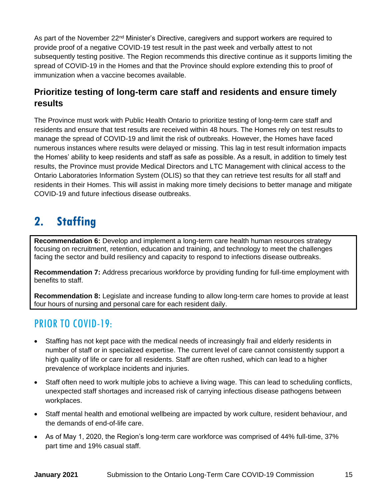As part of the November 22<sup>nd</sup> Minister's Directive, caregivers and support workers are required to provide proof of a negative COVID-19 test result in the past week and verbally attest to not subsequently testing positive. The Region recommends this directive continue as it supports limiting the spread of COVID-19 in the Homes and that the Province should explore extending this to proof of immunization when a vaccine becomes available.

### **Prioritize testing of long-term care staff and residents and ensure timely results**

The Province must work with Public Health Ontario to prioritize testing of long-term care staff and residents and ensure that test results are received within 48 hours. The Homes rely on test results to manage the spread of COVID-19 and limit the risk of outbreaks. However, the Homes have faced numerous instances where results were delayed or missing. This lag in test result information impacts the Homes' ability to keep residents and staff as safe as possible. As a result, in addition to timely test results, the Province must provide Medical Directors and LTC Management with clinical access to the Ontario Laboratories Information System (OLIS) so that they can retrieve test results for all staff and residents in their Homes. This will assist in making more timely decisions to better manage and mitigate COVID-19 and future infectious disease outbreaks.

# <span id="page-18-0"></span>**2. Staffing**

**Recommendation 6:** Develop and implement a long-term care health human resources strategy focusing on recruitment, retention, education and training, and technology to meet the challenges facing the sector and build resiliency and capacity to respond to infections disease outbreaks.

**Recommendation 7:** Address precarious workforce by providing funding for full-time employment with benefits to staff.

**Recommendation 8:** Legislate and increase funding to allow long-term care homes to provide at least four hours of nursing and personal care for each resident daily.

# PRIOR TO COVID-19:

- Staffing has not kept pace with the medical needs of increasingly frail and elderly residents in number of staff or in specialized expertise. The current level of care cannot consistently support a high quality of life or care for all residents. Staff are often rushed, which can lead to a higher prevalence of workplace incidents and injuries.
- Staff often need to work multiple jobs to achieve a living wage. This can lead to scheduling conflicts, unexpected staff shortages and increased risk of carrying infectious disease pathogens between workplaces.
- Staff mental health and emotional wellbeing are impacted by work culture, resident behaviour, and the demands of end-of-life care.
- As of May 1, 2020, the Region's long-term care workforce was comprised of 44% full-time, 37% part time and 19% casual staff.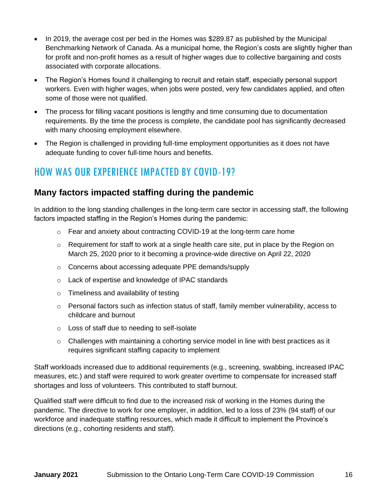- In 2019, the average cost per bed in the Homes was \$289.87 as published by the Municipal Benchmarking Network of Canada. As a municipal home, the Region's costs are slightly higher than for profit and non-profit homes as a result of higher wages due to collective bargaining and costs associated with corporate allocations.
- The Region's Homes found it challenging to recruit and retain staff, especially personal support workers. Even with higher wages, when jobs were posted, very few candidates applied, and often some of those were not qualified.
- The process for filling vacant positions is lengthy and time consuming due to documentation requirements. By the time the process is complete, the candidate pool has significantly decreased with many choosing employment elsewhere.
- The Region is challenged in providing full-time employment opportunities as it does not have adequate funding to cover full-time hours and benefits.

# HOW WAS OUR EXPERIENCE IMPACTED BY COVID-19?

### **Many factors impacted staffing during the pandemic**

In addition to the long standing challenges in the long-term care sector in accessing staff, the following factors impacted staffing in the Region's Homes during the pandemic:

- $\circ$  Fear and anxiety about contracting COVID-19 at the long-term care home
- $\circ$  Requirement for staff to work at a single health care site, put in place by the Region on March 25, 2020 prior to it becoming a province-wide directive on April 22, 2020
- o Concerns about accessing adequate PPE demands/supply
- o Lack of expertise and knowledge of IPAC standards
- o Timeliness and availability of testing
- o Personal factors such as infection status of staff, family member vulnerability, access to childcare and burnout
- o Loss of staff due to needing to self-isolate
- o Challenges with maintaining a cohorting service model in line with best practices as it requires significant staffing capacity to implement

Staff workloads increased due to additional requirements (e.g., screening, swabbing, increased IPAC measures, etc.) and staff were required to work greater overtime to compensate for increased staff shortages and loss of volunteers. This contributed to staff burnout.

Qualified staff were difficult to find due to the increased risk of working in the Homes during the pandemic. The directive to work for one employer, in addition, led to a loss of 23% (94 staff) of our workforce and inadequate staffing resources, which made it difficult to implement the Province's directions (e.g., cohorting residents and staff).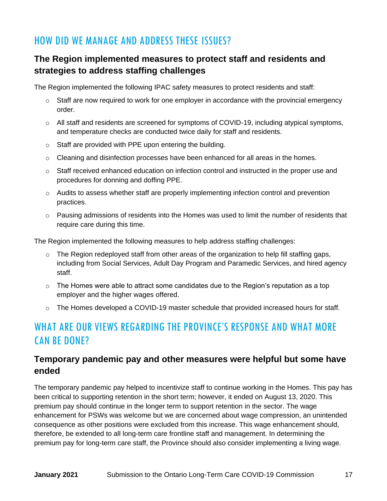## HOW DID WE MANAGE AND ADDRESS THESE ISSUES?

### **The Region implemented measures to protect staff and residents and strategies to address staffing challenges**

The Region implemented the following IPAC safety measures to protect residents and staff:

- $\circ$  Staff are now required to work for one employer in accordance with the provincial emergency order.
- $\circ$  All staff and residents are screened for symptoms of COVID-19, including atypical symptoms, and temperature checks are conducted twice daily for staff and residents.
- $\circ$  Staff are provided with PPE upon entering the building.
- $\circ$  Cleaning and disinfection processes have been enhanced for all areas in the homes.
- $\circ$  Staff received enhanced education on infection control and instructed in the proper use and procedures for donning and doffing PPE.
- $\circ$  Audits to assess whether staff are properly implementing infection control and prevention practices.
- $\circ$  Pausing admissions of residents into the Homes was used to limit the number of residents that require care during this time.

The Region implemented the following measures to help address staffing challenges:

- $\circ$  The Region redeployed staff from other areas of the organization to help fill staffing gaps, including from Social Services, Adult Day Program and Paramedic Services, and hired agency staff.
- $\circ$  The Homes were able to attract some candidates due to the Region's reputation as a top employer and the higher wages offered.
- $\circ$  The Homes developed a COVID-19 master schedule that provided increased hours for staff.

# WHAT ARE OUR VIEWS REGARDING THE PROVINCE'S RESPONSE AND WHAT MORE CAN BE DONE?

### **Temporary pandemic pay and other measures were helpful but some have ended**

The temporary pandemic pay helped to incentivize staff to continue working in the Homes. This pay has been critical to supporting retention in the short term; however, it ended on August 13, 2020. This premium pay should continue in the longer term to support retention in the sector. The wage enhancement for PSWs was welcome but we are concerned about wage compression, an unintended consequence as other positions were excluded from this increase. This wage enhancement should, therefore, be extended to all long-term care frontline staff and management. In determining the premium pay for long-term care staff, the Province should also consider implementing a living wage.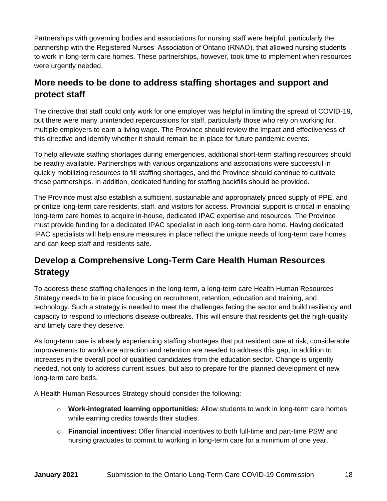Partnerships with governing bodies and associations for nursing staff were helpful, particularly the partnership with the Registered Nurses' Association of Ontario (RNAO), that allowed nursing students to work in long-term care homes. These partnerships, however, took time to implement when resources were urgently needed.

### **More needs to be done to address staffing shortages and support and protect staff**

The directive that staff could only work for one employer was helpful in limiting the spread of COVID-19, but there were many unintended repercussions for staff, particularly those who rely on working for multiple employers to earn a living wage. The Province should review the impact and effectiveness of this directive and identify whether it should remain be in place for future pandemic events.

To help alleviate staffing shortages during emergencies, additional short-term staffing resources should be readily available. Partnerships with various organizations and associations were successful in quickly mobilizing resources to fill staffing shortages, and the Province should continue to cultivate these partnerships. In addition, dedicated funding for staffing backfills should be provided.

The Province must also establish a sufficient, sustainable and appropriately priced supply of PPE, and prioritize long-term care residents, staff, and visitors for access. Provincial support is critical in enabling long-term care homes to acquire in-house, dedicated IPAC expertise and resources. The Province must provide funding for a dedicated IPAC specialist in each long-term care home. Having dedicated IPAC specialists will help ensure measures in place reflect the unique needs of long-term care homes and can keep staff and residents safe.

### **Develop a Comprehensive Long-Term Care Health Human Resources Strategy**

To address these staffing challenges in the long-term, a long-term care Health Human Resources Strategy needs to be in place focusing on recruitment, retention, education and training, and technology. Such a strategy is needed to meet the challenges facing the sector and build resiliency and capacity to respond to infections disease outbreaks. This will ensure that residents get the high-quality and timely care they deserve.

As long-term care is already experiencing staffing shortages that put resident care at risk, considerable improvements to workforce attraction and retention are needed to address this gap, in addition to increases in the overall pool of qualified candidates from the education sector. Change is urgently needed, not only to address current issues, but also to prepare for the planned development of new long-term care beds.

A Health Human Resources Strategy should consider the following:

- o **Work-integrated learning opportunities:** Allow students to work in long-term care homes while earning credits towards their studies.
- o **Financial incentives:** Offer financial incentives to both full-time and part-time PSW and nursing graduates to commit to working in long-term care for a minimum of one year.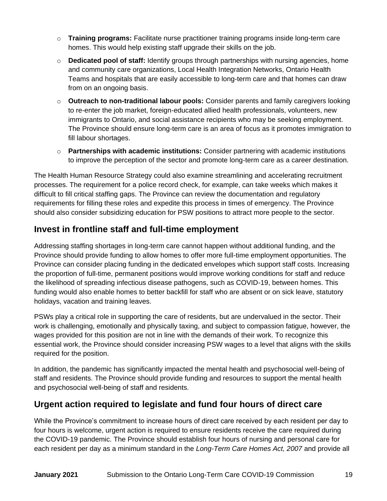- o **Training programs:** Facilitate nurse practitioner training programs inside long-term care homes. This would help existing staff upgrade their skills on the job.
- o **Dedicated pool of staff:** Identify groups through partnerships with nursing agencies, home and community care organizations, Local Health Integration Networks, Ontario Health Teams and hospitals that are easily accessible to long-term care and that homes can draw from on an ongoing basis.
- o **Outreach to non-traditional labour pools:** Consider parents and family caregivers looking to re-enter the job market, foreign-educated allied health professionals, volunteers, new immigrants to Ontario, and social assistance recipients who may be seeking employment. The Province should ensure long-term care is an area of focus as it promotes immigration to fill labour shortages.
- o **Partnerships with academic institutions:** Consider partnering with academic institutions to improve the perception of the sector and promote long-term care as a career destination.

The Health Human Resource Strategy could also examine streamlining and accelerating recruitment processes. The requirement for a police record check, for example, can take weeks which makes it difficult to fill critical staffing gaps. The Province can review the documentation and regulatory requirements for filling these roles and expedite this process in times of emergency. The Province should also consider subsidizing education for PSW positions to attract more people to the sector.

### **Invest in frontline staff and full-time employment**

Addressing staffing shortages in long-term care cannot happen without additional funding, and the Province should provide funding to allow homes to offer more full-time employment opportunities. The Province can consider placing funding in the dedicated envelopes which support staff costs. Increasing the proportion of full-time, permanent positions would improve working conditions for staff and reduce the likelihood of spreading infectious disease pathogens, such as COVID-19, between homes. This funding would also enable homes to better backfill for staff who are absent or on sick leave, statutory holidays, vacation and training leaves.

PSWs play a critical role in supporting the care of residents, but are undervalued in the sector. Their work is challenging, emotionally and physically taxing, and subject to compassion fatigue, however, the wages provided for this position are not in line with the demands of their work. To recognize this essential work, the Province should consider increasing PSW wages to a level that aligns with the skills required for the position.

In addition, the pandemic has significantly impacted the mental health and psychosocial well-being of staff and residents. The Province should provide funding and resources to support the mental health and psychosocial well-being of staff and residents.

### **Urgent action required to legislate and fund four hours of direct care**

While the Province's commitment to increase hours of direct care received by each resident per day to four hours is welcome, urgent action is required to ensure residents receive the care required during the COVID-19 pandemic. The Province should establish four hours of nursing and personal care for each resident per day as a minimum standard in the *Long-Term Care Homes Act, 2007* and provide all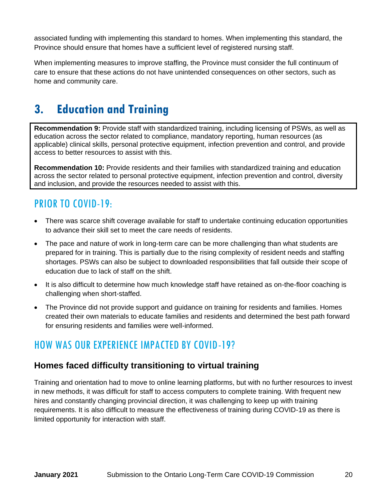associated funding with implementing this standard to homes. When implementing this standard, the Province should ensure that homes have a sufficient level of registered nursing staff.

When implementing measures to improve staffing, the Province must consider the full continuum of care to ensure that these actions do not have unintended consequences on other sectors, such as home and community care.

# <span id="page-23-0"></span>**3. Education and Training**

**Recommendation 9:** Provide staff with standardized training, including licensing of PSWs, as well as education across the sector related to compliance, mandatory reporting, human resources (as applicable) clinical skills, personal protective equipment, infection prevention and control, and provide access to better resources to assist with this.

**Recommendation 10:** Provide residents and their families with standardized training and education across the sector related to personal protective equipment, infection prevention and control, diversity and inclusion, and provide the resources needed to assist with this.

# PRIOR TO COVID-19:

- There was scarce shift coverage available for staff to undertake continuing education opportunities to advance their skill set to meet the care needs of residents.
- The pace and nature of work in long-term care can be more challenging than what students are prepared for in training. This is partially due to the rising complexity of resident needs and staffing shortages. PSWs can also be subject to downloaded responsibilities that fall outside their scope of education due to lack of staff on the shift.
- It is also difficult to determine how much knowledge staff have retained as on-the-floor coaching is challenging when short-staffed.
- The Province did not provide support and guidance on training for residents and families. Homes created their own materials to educate families and residents and determined the best path forward for ensuring residents and families were well-informed.

### HOW WAS OUR EXPERIENCE IMPACTED BY COVID-19?

### **Homes faced difficulty transitioning to virtual training**

Training and orientation had to move to online learning platforms, but with no further resources to invest in new methods, it was difficult for staff to access computers to complete training. With frequent new hires and constantly changing provincial direction, it was challenging to keep up with training requirements. It is also difficult to measure the effectiveness of training during COVID-19 as there is limited opportunity for interaction with staff.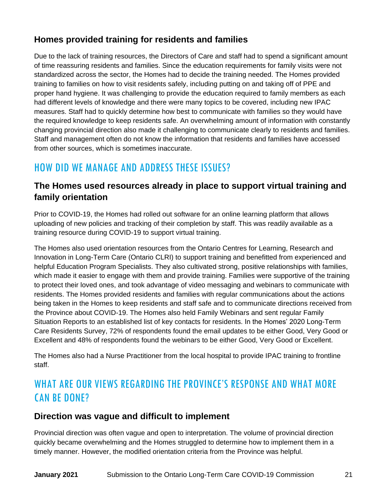### **Homes provided training for residents and families**

Due to the lack of training resources, the Directors of Care and staff had to spend a significant amount of time reassuring residents and families. Since the education requirements for family visits were not standardized across the sector, the Homes had to decide the training needed. The Homes provided training to families on how to visit residents safely, including putting on and taking off of PPE and proper hand hygiene. It was challenging to provide the education required to family members as each had different levels of knowledge and there were many topics to be covered, including new IPAC measures. Staff had to quickly determine how best to communicate with families so they would have the required knowledge to keep residents safe. An overwhelming amount of information with constantly changing provincial direction also made it challenging to communicate clearly to residents and families. Staff and management often do not know the information that residents and families have accessed from other sources, which is sometimes inaccurate.

### HOW DID WE MANAGE AND ADDRESS THESE ISSUES?

### **The Homes used resources already in place to support virtual training and family orientation**

Prior to COVID-19, the Homes had rolled out software for an online learning platform that allows uploading of new policies and tracking of their completion by staff. This was readily available as a training resource during COVID-19 to support virtual training.

The Homes also used orientation resources from the Ontario Centres for Learning, Research and Innovation in Long-Term Care (Ontario CLRI) to support training and benefitted from experienced and helpful Education Program Specialists. They also cultivated strong, positive relationships with families, which made it easier to engage with them and provide training. Families were supportive of the training to protect their loved ones, and took advantage of video messaging and webinars to communicate with residents. The Homes provided residents and families with regular communications about the actions being taken in the Homes to keep residents and staff safe and to communicate directions received from the Province about COVID-19. The Homes also held Family Webinars and sent regular Family Situation Reports to an established list of key contacts for residents. In the Homes' 2020 Long-Term Care Residents Survey, 72% of respondents found the email updates to be either Good, Very Good or Excellent and 48% of respondents found the webinars to be either Good, Very Good or Excellent.

The Homes also had a Nurse Practitioner from the local hospital to provide IPAC training to frontline staff.

# WHAT ARE OUR VIEWS REGARDING THE PROVINCE'S RESPONSE AND WHAT MORE CAN BE DONE?

### **Direction was vague and difficult to implement**

Provincial direction was often vague and open to interpretation. The volume of provincial direction quickly became overwhelming and the Homes struggled to determine how to implement them in a timely manner. However, the modified orientation criteria from the Province was helpful.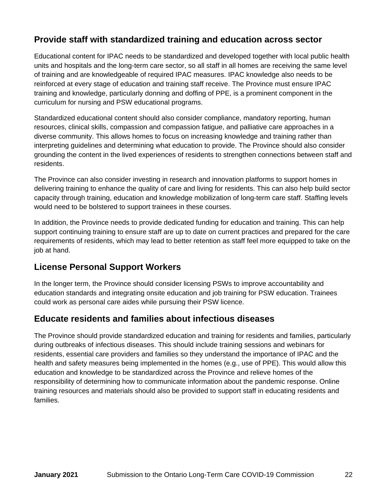### **Provide staff with standardized training and education across sector**

Educational content for IPAC needs to be standardized and developed together with local public health units and hospitals and the long-term care sector, so all staff in all homes are receiving the same level of training and are knowledgeable of required IPAC measures. IPAC knowledge also needs to be reinforced at every stage of education and training staff receive. The Province must ensure IPAC training and knowledge, particularly donning and doffing of PPE, is a prominent component in the curriculum for nursing and PSW educational programs.

Standardized educational content should also consider compliance, mandatory reporting, human resources, clinical skills, compassion and compassion fatigue, and palliative care approaches in a diverse community. This allows homes to focus on increasing knowledge and training rather than interpreting guidelines and determining what education to provide. The Province should also consider grounding the content in the lived experiences of residents to strengthen connections between staff and residents.

The Province can also consider investing in research and innovation platforms to support homes in delivering training to enhance the quality of care and living for residents. This can also help build sector capacity through training, education and knowledge mobilization of long-term care staff. Staffing levels would need to be bolstered to support trainees in these courses.

In addition, the Province needs to provide dedicated funding for education and training. This can help support continuing training to ensure staff are up to date on current practices and prepared for the care requirements of residents, which may lead to better retention as staff feel more equipped to take on the job at hand.

### **License Personal Support Workers**

In the longer term, the Province should consider licensing PSWs to improve accountability and education standards and integrating onsite education and job training for PSW education. Trainees could work as personal care aides while pursuing their PSW licence.

### **Educate residents and families about infectious diseases**

The Province should provide standardized education and training for residents and families, particularly during outbreaks of infectious diseases. This should include training sessions and webinars for residents, essential care providers and families so they understand the importance of IPAC and the health and safety measures being implemented in the homes (e.g., use of PPE). This would allow this education and knowledge to be standardized across the Province and relieve homes of the responsibility of determining how to communicate information about the pandemic response. Online training resources and materials should also be provided to support staff in educating residents and families.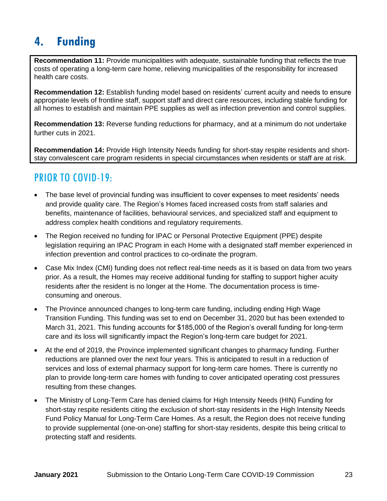# <span id="page-26-0"></span>**4. Funding**

**Recommendation 11:** Provide municipalities with adequate, sustainable funding that reflects the true costs of operating a long-term care home, relieving municipalities of the responsibility for increased health care costs.

**Recommendation 12:** Establish funding model based on residents' current acuity and needs to ensure appropriate levels of frontline staff, support staff and direct care resources, including stable funding for all homes to establish and maintain PPE supplies as well as infection prevention and control supplies.

**Recommendation 13:** Reverse funding reductions for pharmacy, and at a minimum do not undertake further cuts in 2021.

**Recommendation 14:** Provide High Intensity Needs funding for short-stay respite residents and shortstay convalescent care program residents in special circumstances when residents or staff are at risk.

# PRIOR TO COVID-19:

- The base level of provincial funding was insufficient to cover expenses to meet residents' needs and provide quality care. The Region's Homes faced increased costs from staff salaries and benefits, maintenance of facilities, behavioural services, and specialized staff and equipment to address complex health conditions and regulatory requirements.
- The Region received no funding for IPAC or Personal Protective Equipment (PPE) despite legislation requiring an IPAC Program in each Home with a designated staff member experienced in infection prevention and control practices to co-ordinate the program.
- Case Mix Index (CMI) funding does not reflect real-time needs as it is based on data from two years prior. As a result, the Homes may receive additional funding for staffing to support higher acuity residents after the resident is no longer at the Home. The documentation process is timeconsuming and onerous.
- The Province announced changes to long-term care funding, including ending High Wage Transition Funding. This funding was set to end on December 31, 2020 but has been extended to March 31, 2021. This funding accounts for \$185,000 of the Region's overall funding for long-term care and its loss will significantly impact the Region's long-term care budget for 2021.
- At the end of 2019, the Province implemented significant changes to pharmacy funding. Further reductions are planned over the next four years. This is anticipated to result in a reduction of services and loss of external pharmacy support for long-term care homes. There is currently no plan to provide long-term care homes with funding to cover anticipated operating cost pressures resulting from these changes.
- The Ministry of Long-Term Care has denied claims for High Intensity Needs (HIN) Funding for short-stay respite residents citing the exclusion of short-stay residents in the High Intensity Needs Fund Policy Manual for Long-Term Care Homes. As a result, the Region does not receive funding to provide supplemental (one-on-one) staffing for short-stay residents, despite this being critical to protecting staff and residents.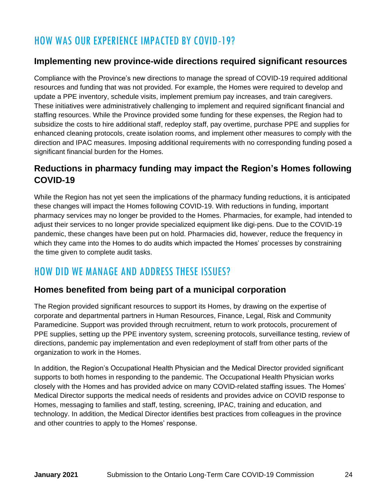## HOW WAS OUR EXPERIENCE IMPACTED BY COVID-19?

### **Implementing new province-wide directions required significant resources**

Compliance with the Province's new directions to manage the spread of COVID-19 required additional resources and funding that was not provided. For example, the Homes were required to develop and update a PPE inventory, schedule visits, implement premium pay increases, and train caregivers. These initiatives were administratively challenging to implement and required significant financial and staffing resources. While the Province provided some funding for these expenses, the Region had to subsidize the costs to hire additional staff, redeploy staff, pay overtime, purchase PPE and supplies for enhanced cleaning protocols, create isolation rooms, and implement other measures to comply with the direction and IPAC measures. Imposing additional requirements with no corresponding funding posed a significant financial burden for the Homes.

### **Reductions in pharmacy funding may impact the Region's Homes following COVID-19**

While the Region has not yet seen the implications of the pharmacy funding reductions, it is anticipated these changes will impact the Homes following COVID-19. With reductions in funding, important pharmacy services may no longer be provided to the Homes. Pharmacies, for example, had intended to adjust their services to no longer provide specialized equipment like digi-pens. Due to the COVID-19 pandemic, these changes have been put on hold. Pharmacies did, however, reduce the frequency in which they came into the Homes to do audits which impacted the Homes' processes by constraining the time given to complete audit tasks.

### HOW DID WE MANAGE AND ADDRESS THESE ISSUES?

### **Homes benefited from being part of a municipal corporation**

The Region provided significant resources to support its Homes, by drawing on the expertise of corporate and departmental partners in Human Resources, Finance, Legal, Risk and Community Paramedicine. Support was provided through recruitment, return to work protocols, procurement of PPE supplies, setting up the PPE inventory system, screening protocols, surveillance testing, review of directions, pandemic pay implementation and even redeployment of staff from other parts of the organization to work in the Homes.

In addition, the Region's Occupational Health Physician and the Medical Director provided significant supports to both homes in responding to the pandemic. The Occupational Health Physician works closely with the Homes and has provided advice on many COVID-related staffing issues. The Homes' Medical Director supports the medical needs of residents and provides advice on COVID response to Homes, messaging to families and staff, testing, screening, IPAC, training and education, and technology. In addition, the Medical Director identifies best practices from colleagues in the province and other countries to apply to the Homes' response.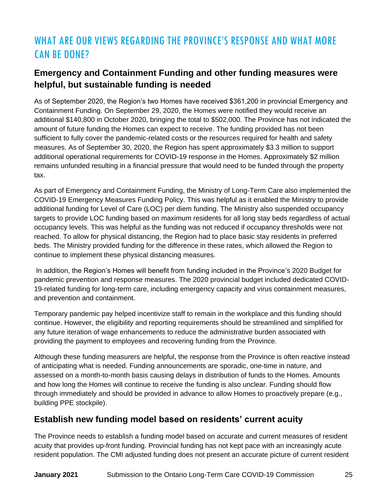# WHAT ARE OUR VIEWS REGARDING THE PROVINCE'S RESPONSE AND WHAT MORE CAN BE DONE?

### **Emergency and Containment Funding and other funding measures were helpful, but sustainable funding is needed**

As of September 2020, the Region's two Homes have received \$361,200 in provincial Emergency and Containment Funding. On September 29, 2020, the Homes were notified they would receive an additional \$140,800 in October 2020, bringing the total to \$502,000. The Province has not indicated the amount of future funding the Homes can expect to receive. The funding provided has not been sufficient to fully cover the pandemic-related costs or the resources required for health and safety measures. As of September 30, 2020, the Region has spent approximately \$3.3 million to support additional operational requirements for COVID-19 response in the Homes. Approximately \$2 million remains unfunded resulting in a financial pressure that would need to be funded through the property tax.

As part of Emergency and Containment Funding, the Ministry of Long-Term Care also implemented the COVID-19 Emergency Measures Funding Policy. This was helpful as it enabled the Ministry to provide additional funding for Level of Care (LOC) per diem funding. The Ministry also suspended occupancy targets to provide LOC funding based on maximum residents for all long stay beds regardless of actual occupancy levels. This was helpful as the funding was not reduced if occupancy thresholds were not reached. To allow for physical distancing, the Region had to place basic stay residents in preferred beds. The Ministry provided funding for the difference in these rates, which allowed the Region to continue to implement these physical distancing measures.

In addition, the Region's Homes will benefit from funding included in the Province's 2020 Budget for pandemic prevention and response measures. The 2020 provincial budget included dedicated COVID-19-related funding for long-term care, including emergency capacity and virus containment measures, and prevention and containment.

Temporary pandemic pay helped incentivize staff to remain in the workplace and this funding should continue. However, the eligibility and reporting requirements should be streamlined and simplified for any future iteration of wage enhancements to reduce the administrative burden associated with providing the payment to employees and recovering funding from the Province.

Although these funding measurers are helpful, the response from the Province is often reactive instead of anticipating what is needed. Funding announcements are sporadic, one-time in nature, and assessed on a month-to-month basis causing delays in distribution of funds to the Homes. Amounts and how long the Homes will continue to receive the funding is also unclear. Funding should flow through immediately and should be provided in advance to allow Homes to proactively prepare (e.g., building PPE stockpile).

### **Establish new funding model based on residents' current acuity**

The Province needs to establish a funding model based on accurate and current measures of resident acuity that provides up-front funding. Provincial funding has not kept pace with an increasingly acute resident population. The CMI adjusted funding does not present an accurate picture of current resident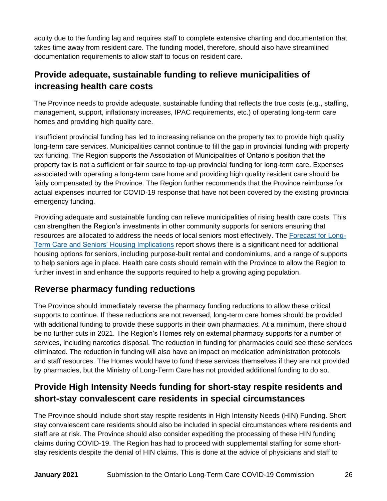acuity due to the funding lag and requires staff to complete extensive charting and documentation that takes time away from resident care. The funding model, therefore, should also have streamlined documentation requirements to allow staff to focus on resident care.

### **Provide adequate, sustainable funding to relieve municipalities of increasing health care costs**

The Province needs to provide adequate, sustainable funding that reflects the true costs (e.g., staffing, management, support, inflationary increases, IPAC requirements, etc.) of operating long-term care homes and providing high quality care.

Insufficient provincial funding has led to increasing reliance on the property tax to provide high quality long-term care services. Municipalities cannot continue to fill the gap in provincial funding with property tax funding. The Region supports the Association of Municipalities of Ontario's position that the property tax is not a sufficient or fair source to top-up provincial funding for long-term care. Expenses associated with operating a long-term care home and providing high quality resident care should be fairly compensated by the Province. The Region further recommends that the Province reimburse for actual expenses incurred for COVID-19 response that have not been covered by the existing provincial emergency funding.

Providing adequate and sustainable funding can relieve municipalities of rising health care costs. This can strengthen the Region's investments in other community supports for seniors ensuring that resources are allocated to address the needs of local seniors most effectively. The [Forecast](https://yorkpublishing.escribemeetings.com/filestream.ashx?DocumentId=17179) for Long-[Term Care and Seniors' Housing Implications](https://yorkpublishing.escribemeetings.com/filestream.ashx?DocumentId=17179) report shows there is a significant need for additional housing options for seniors, including purpose-built rental and condominiums, and a range of supports to help seniors age in place. Health care costs should remain with the Province to allow the Region to further invest in and enhance the supports required to help a growing aging population.

### **Reverse pharmacy funding reductions**

The Province should immediately reverse the pharmacy funding reductions to allow these critical supports to continue. If these reductions are not reversed, long-term care homes should be provided with additional funding to provide these supports in their own pharmacies. At a minimum, there should be no further cuts in 2021. The Region's Homes rely on external pharmacy supports for a number of services, including narcotics disposal. The reduction in funding for pharmacies could see these services eliminated. The reduction in funding will also have an impact on medication administration protocols and staff resources. The Homes would have to fund these services themselves if they are not provided by pharmacies, but the Ministry of Long-Term Care has not provided additional funding to do so.

### **Provide High Intensity Needs funding for short-stay respite residents and short-stay convalescent care residents in special circumstances**

The Province should include short stay respite residents in High Intensity Needs (HIN) Funding. Short stay convalescent care residents should also be included in special circumstances where residents and staff are at risk. The Province should also consider expediting the processing of these HIN funding claims during COVID-19. The Region has had to proceed with supplemental staffing for some shortstay residents despite the denial of HIN claims. This is done at the advice of physicians and staff to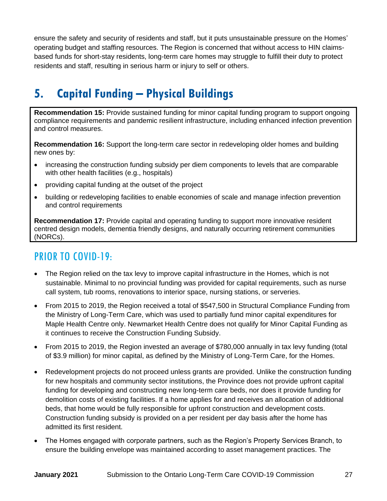ensure the safety and security of residents and staff, but it puts unsustainable pressure on the Homes' operating budget and staffing resources. The Region is concerned that without access to HIN claimsbased funds for short-stay residents, long-term care homes may struggle to fulfill their duty to protect residents and staff, resulting in serious harm or injury to self or others.

# <span id="page-30-0"></span>**5. Capital Funding – Physical Buildings**

**Recommendation 15:** Provide sustained funding for minor capital funding program to support ongoing compliance requirements and pandemic resilient infrastructure, including enhanced infection prevention and control measures.

**Recommendation 16:** Support the long-term care sector in redeveloping older homes and building new ones by:

- increasing the construction funding subsidy per diem components to levels that are comparable with other health facilities (e.g., hospitals)
- providing capital funding at the outset of the project
- building or redeveloping facilities to enable economies of scale and manage infection prevention and control requirements

**Recommendation 17:** Provide capital and operating funding to support more innovative resident centred design models, dementia friendly designs, and naturally occurring retirement communities (NORCs).

### PRIOR TO COVID-19:

- The Region relied on the tax levy to improve capital infrastructure in the Homes, which is not sustainable. Minimal to no provincial funding was provided for capital requirements, such as nurse call system, tub rooms, renovations to interior space, nursing stations, or serveries.
- From 2015 to 2019, the Region received a total of \$547,500 in Structural Compliance Funding from the Ministry of Long-Term Care, which was used to partially fund minor capital expenditures for Maple Health Centre only. Newmarket Health Centre does not qualify for Minor Capital Funding as it continues to receive the Construction Funding Subsidy.
- From 2015 to 2019, the Region invested an average of \$780,000 annually in tax levy funding (total of \$3.9 million) for minor capital, as defined by the Ministry of Long-Term Care, for the Homes.
- Redevelopment projects do not proceed unless grants are provided. Unlike the construction funding for new hospitals and community sector institutions, the Province does not provide upfront capital funding for developing and constructing new long-term care beds, nor does it provide funding for demolition costs of existing facilities. If a home applies for and receives an allocation of additional beds, that home would be fully responsible for upfront construction and development costs. Construction funding subsidy is provided on a per resident per day basis after the home has admitted its first resident.
- The Homes engaged with corporate partners, such as the Region's Property Services Branch, to ensure the building envelope was maintained according to asset management practices. The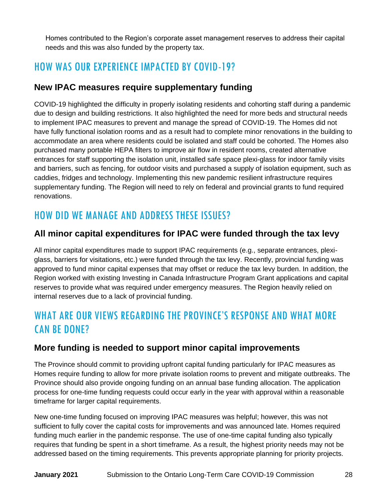Homes contributed to the Region's corporate asset management reserves to address their capital needs and this was also funded by the property tax.

# HOW WAS OUR EXPERIENCE IMPACTED BY COVID-19?

#### **New IPAC measures require supplementary funding**

COVID-19 highlighted the difficulty in properly isolating residents and cohorting staff during a pandemic due to design and building restrictions. It also highlighted the need for more beds and structural needs to implement IPAC measures to prevent and manage the spread of COVID-19. The Homes did not have fully functional isolation rooms and as a result had to complete minor renovations in the building to accommodate an area where residents could be isolated and staff could be cohorted. The Homes also purchased many portable HEPA filters to improve air flow in resident rooms, created alternative entrances for staff supporting the isolation unit, installed safe space plexi-glass for indoor family visits and barriers, such as fencing, for outdoor visits and purchased a supply of isolation equipment, such as caddies, fridges and technology. Implementing this new pandemic resilient infrastructure requires supplementary funding. The Region will need to rely on federal and provincial grants to fund required renovations.

## HOW DID WE MANAGE AND ADDRESS THESE ISSUES?

### **All minor capital expenditures for IPAC were funded through the tax levy**

All minor capital expenditures made to support IPAC requirements (e.g., separate entrances, plexiglass, barriers for visitations, etc.) were funded through the tax levy. Recently, provincial funding was approved to fund minor capital expenses that may offset or reduce the tax levy burden. In addition, the Region worked with existing Investing in Canada Infrastructure Program Grant applications and capital reserves to provide what was required under emergency measures. The Region heavily relied on internal reserves due to a lack of provincial funding.

# WHAT ARE OUR VIEWS REGARDING THE PROVINCE'S RESPONSE AND WHAT MORE CAN BE DONE?

### **More funding is needed to support minor capital improvements**

The Province should commit to providing upfront capital funding particularly for IPAC measures as Homes require funding to allow for more private isolation rooms to prevent and mitigate outbreaks. The Province should also provide ongoing funding on an annual base funding allocation. The application process for one-time funding requests could occur early in the year with approval within a reasonable timeframe for larger capital requirements.

New one-time funding focused on improving IPAC measures was helpful; however, this was not sufficient to fully cover the capital costs for improvements and was announced late. Homes required funding much earlier in the pandemic response. The use of one-time capital funding also typically requires that funding be spent in a short timeframe. As a result, the highest priority needs may not be addressed based on the timing requirements. This prevents appropriate planning for priority projects.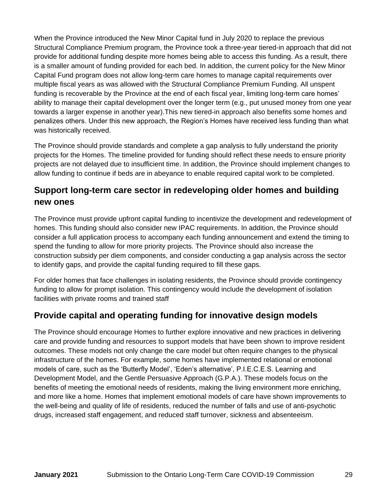When the Province introduced the New Minor Capital fund in July 2020 to replace the previous Structural Compliance Premium program, the Province took a three-year tiered-in approach that did not provide for additional funding despite more homes being able to access this funding. As a result, there is a smaller amount of funding provided for each bed. In addition, the current policy for the New Minor Capital Fund program does not allow long-term care homes to manage capital requirements over multiple fiscal years as was allowed with the Structural Compliance Premium Funding. All unspent funding is recoverable by the Province at the end of each fiscal year, limiting long-term care homes' ability to manage their capital development over the longer term (e.g., put unused money from one year towards a larger expense in another year).This new tiered-in approach also benefits some homes and penalizes others. Under this new approach, the Region's Homes have received less funding than what was historically received.

The Province should provide standards and complete a gap analysis to fully understand the priority projects for the Homes. The timeline provided for funding should reflect these needs to ensure priority projects are not delayed due to insufficient time. In addition, the Province should implement changes to allow funding to continue if beds are in abeyance to enable required capital work to be completed.

### **Support long-term care sector in redeveloping older homes and building new ones**

The Province must provide upfront capital funding to incentivize the development and redevelopment of homes. This funding should also consider new IPAC requirements. In addition, the Province should consider a full application process to accompany each funding announcement and extend the timing to spend the funding to allow for more priority projects. The Province should also increase the construction subsidy per diem components, and consider conducting a gap analysis across the sector to identify gaps, and provide the capital funding required to fill these gaps.

For older homes that face challenges in isolating residents, the Province should provide contingency funding to allow for prompt isolation. This contingency would include the development of isolation facilities with private rooms and trained staff

### **Provide capital and operating funding for innovative design models**

The Province should encourage Homes to further explore innovative and new practices in delivering care and provide funding and resources to support models that have been shown to improve resident outcomes. These models not only change the care model but often require changes to the physical infrastructure of the homes. For example, some homes have implemented relational or emotional models of care, such as the 'Butterfly Model', 'Eden's alternative', P.I.E.C.E.S. Learning and Development Model, and the Gentle Persuasive Approach (G.P.A.). These models focus on the benefits of meeting the emotional needs of residents, making the living environment more enriching, and more like a home. Homes that implement emotional models of care have shown improvements to the well-being and quality of life of residents, reduced the number of falls and use of anti-psychotic drugs, increased staff engagement, and reduced staff turnover, sickness and absenteeism.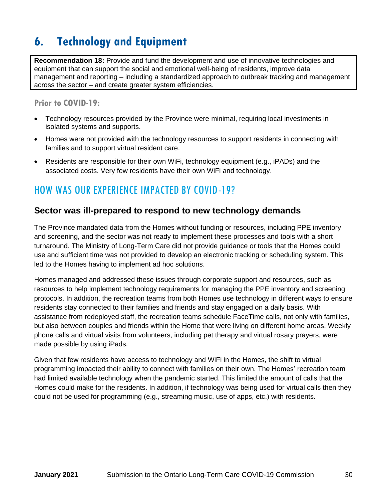# <span id="page-33-0"></span>**6. Technology and Equipment**

**Recommendation 18:** Provide and fund the development and use of innovative technologies and equipment that can support the social and emotional well-being of residents, improve data management and reporting – including a standardized approach to outbreak tracking and management across the sector – and create greater system efficiencies.

**Prior to COVID-19:**

- Technology resources provided by the Province were minimal, requiring local investments in isolated systems and supports.
- Homes were not provided with the technology resources to support residents in connecting with families and to support virtual resident care.
- Residents are responsible for their own WiFi, technology equipment (e.g., iPADs) and the associated costs. Very few residents have their own WiFi and technology.

# HOW WAS OUR EXPERIENCE IMPACTED BY COVID-19?

### **Sector was ill-prepared to respond to new technology demands**

The Province mandated data from the Homes without funding or resources, including PPE inventory and screening, and the sector was not ready to implement these processes and tools with a short turnaround. The Ministry of Long-Term Care did not provide guidance or tools that the Homes could use and sufficient time was not provided to develop an electronic tracking or scheduling system. This led to the Homes having to implement ad hoc solutions.

Homes managed and addressed these issues through corporate support and resources, such as resources to help implement technology requirements for managing the PPE inventory and screening protocols. In addition, the recreation teams from both Homes use technology in different ways to ensure residents stay connected to their families and friends and stay engaged on a daily basis. With assistance from redeployed staff, the recreation teams schedule FaceTime calls, not only with families, but also between couples and friends within the Home that were living on different home areas. Weekly phone calls and virtual visits from volunteers, including pet therapy and virtual rosary prayers, were made possible by using iPads.

Given that few residents have access to technology and WiFi in the Homes, the shift to virtual programming impacted their ability to connect with families on their own. The Homes' recreation team had limited available technology when the pandemic started. This limited the amount of calls that the Homes could make for the residents. In addition, if technology was being used for virtual calls then they could not be used for programming (e.g., streaming music, use of apps, etc.) with residents.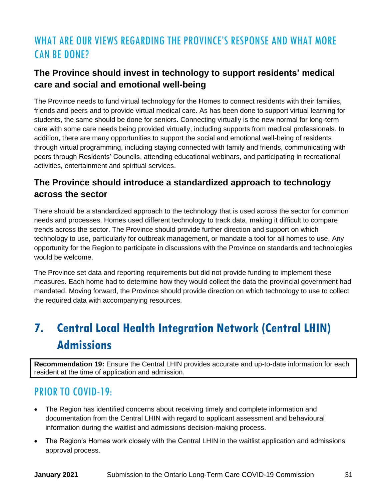# WHAT ARE OUR VIEWS REGARDING THE PROVINCE'S RESPONSE AND WHAT MORE CAN BE DONE?

### **The Province should invest in technology to support residents' medical care and social and emotional well-being**

The Province needs to fund virtual technology for the Homes to connect residents with their families, friends and peers and to provide virtual medical care. As has been done to support virtual learning for students, the same should be done for seniors. Connecting virtually is the new normal for long-term care with some care needs being provided virtually, including supports from medical professionals. In addition, there are many opportunities to support the social and emotional well-being of residents through virtual programming, including staying connected with family and friends, communicating with peers through Residents' Councils, attending educational webinars, and participating in recreational activities, entertainment and spiritual services.

### **The Province should introduce a standardized approach to technology across the sector**

There should be a standardized approach to the technology that is used across the sector for common needs and processes. Homes used different technology to track data, making it difficult to compare trends across the sector. The Province should provide further direction and support on which technology to use, particularly for outbreak management, or mandate a tool for all homes to use. Any opportunity for the Region to participate in discussions with the Province on standards and technologies would be welcome.

The Province set data and reporting requirements but did not provide funding to implement these measures. Each home had to determine how they would collect the data the provincial government had mandated. Moving forward, the Province should provide direction on which technology to use to collect the required data with accompanying resources.

# <span id="page-34-0"></span>**7. Central Local Health Integration Network (Central LHIN) Admissions**

**Recommendation 19:** Ensure the Central LHIN provides accurate and up-to-date information for each resident at the time of application and admission.

### PRIOR TO COVID-19:

- The Region has identified concerns about receiving timely and complete information and documentation from the Central LHIN with regard to applicant assessment and behavioural information during the waitlist and admissions decision-making process.
- The Region's Homes work closely with the Central LHIN in the waitlist application and admissions approval process.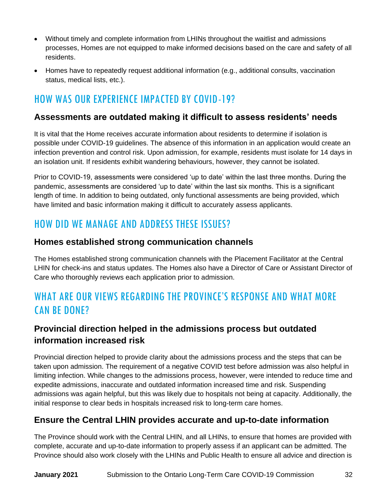- Without timely and complete information from LHINs throughout the waitlist and admissions processes, Homes are not equipped to make informed decisions based on the care and safety of all residents.
- Homes have to repeatedly request additional information (e.g., additional consults, vaccination status, medical lists, etc.).

# HOW WAS OUR EXPERIENCE IMPACTED BY COVID-19?

### **Assessments are outdated making it difficult to assess residents' needs**

It is vital that the Home receives accurate information about residents to determine if isolation is possible under COVID-19 guidelines. The absence of this information in an application would create an infection prevention and control risk. Upon admission, for example, residents must isolate for 14 days in an isolation unit. If residents exhibit wandering behaviours, however, they cannot be isolated.

Prior to COVID-19, assessments were considered 'up to date' within the last three months. During the pandemic, assessments are considered 'up to date' within the last six months. This is a significant length of time. In addition to being outdated, only functional assessments are being provided, which have limited and basic information making it difficult to accurately assess applicants.

# HOW DID WE MANAGE AND ADDRESS THESE ISSUES?

### **Homes established strong communication channels**

The Homes established strong communication channels with the Placement Facilitator at the Central LHIN for check-ins and status updates. The Homes also have a Director of Care or Assistant Director of Care who thoroughly reviews each application prior to admission.

# WHAT ARE OUR VIEWS REGARDING THE PROVINCE'S RESPONSE AND WHAT MORE CAN BE DONE?

### **Provincial direction helped in the admissions process but outdated information increased risk**

Provincial direction helped to provide clarity about the admissions process and the steps that can be taken upon admission. The requirement of a negative COVID test before admission was also helpful in limiting infection. While changes to the admissions process, however, were intended to reduce time and expedite admissions, inaccurate and outdated information increased time and risk. Suspending admissions was again helpful, but this was likely due to hospitals not being at capacity. Additionally, the initial response to clear beds in hospitals increased risk to long-term care homes.

### **Ensure the Central LHIN provides accurate and up-to-date information**

The Province should work with the Central LHIN, and all LHINs, to ensure that homes are provided with complete, accurate and up-to-date information to properly assess if an applicant can be admitted. The Province should also work closely with the LHINs and Public Health to ensure all advice and direction is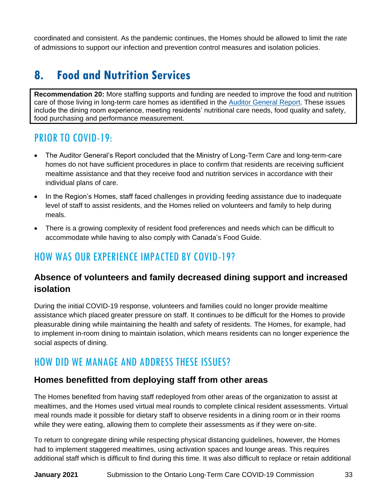coordinated and consistent. As the pandemic continues, the Homes should be allowed to limit the rate of admissions to support our infection and prevention control measures and isolation policies.

# <span id="page-36-0"></span>**8. Food and Nutrition Services**

**Recommendation 20:** More staffing supports and funding are needed to improve the food and nutrition care of those living in long-term care homes as identified in the [Auditor General Report.](https://www.auditor.on.ca/en/content/annualreports/arreports/en19/v1_305en19.pdf) These issues include the dining room experience, meeting residents' nutritional care needs, food quality and safety, food purchasing and performance measurement.

### PRIOR TO COVID-19:

- The Auditor General's Report concluded that the Ministry of Long-Term Care and long-term-care homes do not have sufficient procedures in place to confirm that residents are receiving sufficient mealtime assistance and that they receive food and nutrition services in accordance with their individual plans of care.
- In the Region's Homes, staff faced challenges in providing feeding assistance due to inadequate level of staff to assist residents, and the Homes relied on volunteers and family to help during meals.
- There is a growing complexity of resident food preferences and needs which can be difficult to accommodate while having to also comply with Canada's Food Guide.

### HOW WAS OUR EXPERIENCE IMPACTED BY COVID-19?

### **Absence of volunteers and family decreased dining support and increased isolation**

During the initial COVID-19 response, volunteers and families could no longer provide mealtime assistance which placed greater pressure on staff. It continues to be difficult for the Homes to provide pleasurable dining while maintaining the health and safety of residents. The Homes, for example, had to implement in-room dining to maintain isolation, which means residents can no longer experience the social aspects of dining.

### HOW DID WE MANAGE AND ADDRESS THESE ISSUES?

### **Homes benefitted from deploying staff from other areas**

The Homes benefited from having staff redeployed from other areas of the organization to assist at mealtimes, and the Homes used virtual meal rounds to complete clinical resident assessments. Virtual meal rounds made it possible for dietary staff to observe residents in a dining room or in their rooms while they were eating, allowing them to complete their assessments as if they were on-site.

To return to congregate dining while respecting physical distancing guidelines, however, the Homes had to implement staggered mealtimes, using activation spaces and lounge areas. This requires additional staff which is difficult to find during this time. It was also difficult to replace or retain additional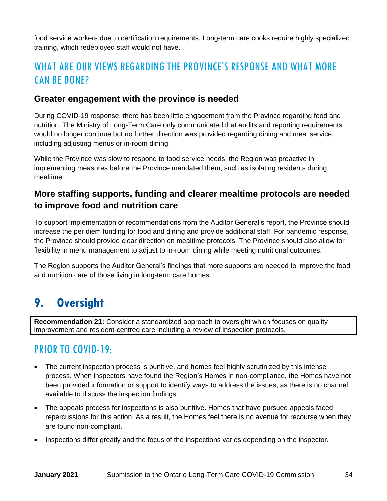food service workers due to certification requirements. Long-term care cooks require highly specialized training, which redeployed staff would not have.

# WHAT ARE OUR VIEWS REGARDING THE PROVINCE'S RESPONSE AND WHAT MORE CAN BE DONE?

#### **Greater engagement with the province is needed**

During COVID-19 response, there has been little engagement from the Province regarding food and nutrition. The Ministry of Long-Term Care only communicated that audits and reporting requirements would no longer continue but no further direction was provided regarding dining and meal service, including adjusting menus or in-room dining.

While the Province was slow to respond to food service needs, the Region was proactive in implementing measures before the Province mandated them, such as isolating residents during mealtime.

### **More staffing supports, funding and clearer mealtime protocols are needed to improve food and nutrition care**

To support implementation of recommendations from the Auditor General's report, the Province should increase the per diem funding for food and dining and provide additional staff. For pandemic response, the Province should provide clear direction on mealtime protocols. The Province should also allow for flexibility in menu management to adjust to in-room dining while meeting nutritional outcomes.

The Region supports the Auditor General's findings that more supports are needed to improve the food and nutrition care of those living in long-term care homes.

# <span id="page-37-0"></span>**9. Oversight**

**Recommendation 21:** Consider a standardized approach to oversight which focuses on quality improvement and resident-centred care including a review of inspection protocols.

# PRIOR TO COVID-19:

- The current inspection process is punitive, and homes feel highly scrutinized by this intense process. When inspectors have found the Region's Homes in non-compliance, the Homes have not been provided information or support to identify ways to address the issues, as there is no channel available to discuss the inspection findings.
- The appeals process for inspections is also punitive. Homes that have pursued appeals faced repercussions for this action. As a result, the Homes feel there is no avenue for recourse when they are found non-compliant.
- Inspections differ greatly and the focus of the inspections varies depending on the inspector.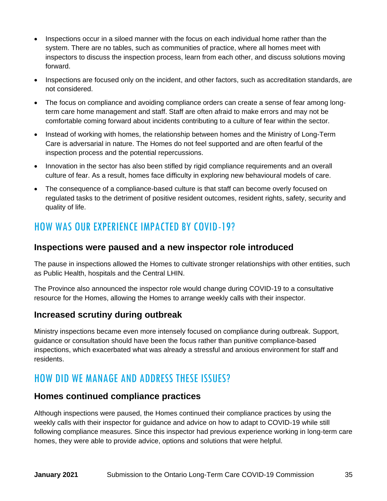- Inspections occur in a siloed manner with the focus on each individual home rather than the system. There are no tables, such as communities of practice, where all homes meet with inspectors to discuss the inspection process, learn from each other, and discuss solutions moving forward.
- Inspections are focused only on the incident, and other factors, such as accreditation standards, are not considered.
- The focus on compliance and avoiding compliance orders can create a sense of fear among longterm care home management and staff. Staff are often afraid to make errors and may not be comfortable coming forward about incidents contributing to a culture of fear within the sector.
- Instead of working with homes, the relationship between homes and the Ministry of Long-Term Care is adversarial in nature. The Homes do not feel supported and are often fearful of the inspection process and the potential repercussions.
- Innovation in the sector has also been stifled by rigid compliance requirements and an overall culture of fear. As a result, homes face difficulty in exploring new behavioural models of care.
- The consequence of a compliance-based culture is that staff can become overly focused on regulated tasks to the detriment of positive resident outcomes, resident rights, safety, security and quality of life.

# HOW WAS OUR EXPERIENCE IMPACTED BY COVID-19?

### **Inspections were paused and a new inspector role introduced**

The pause in inspections allowed the Homes to cultivate stronger relationships with other entities, such as Public Health, hospitals and the Central LHIN.

The Province also announced the inspector role would change during COVID-19 to a consultative resource for the Homes, allowing the Homes to arrange weekly calls with their inspector.

### **Increased scrutiny during outbreak**

Ministry inspections became even more intensely focused on compliance during outbreak. Support, guidance or consultation should have been the focus rather than punitive compliance-based inspections, which exacerbated what was already a stressful and anxious environment for staff and residents.

### HOW DID WE MANAGE AND ADDRESS THESE ISSUES?

### **Homes continued compliance practices**

Although inspections were paused, the Homes continued their compliance practices by using the weekly calls with their inspector for guidance and advice on how to adapt to COVID-19 while still following compliance measures. Since this inspector had previous experience working in long-term care homes, they were able to provide advice, options and solutions that were helpful.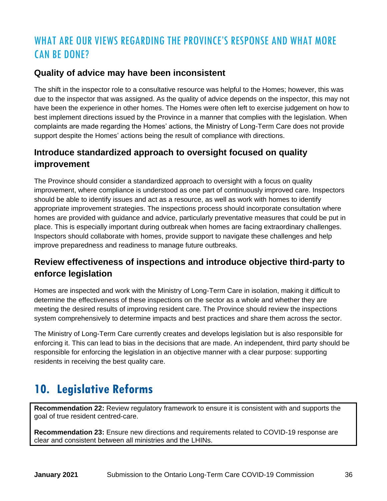# WHAT ARE OUR VIEWS REGARDING THE PROVINCE'S RESPONSE AND WHAT MORE CAN BE DONE?

### **Quality of advice may have been inconsistent**

The shift in the inspector role to a consultative resource was helpful to the Homes; however, this was due to the inspector that was assigned. As the quality of advice depends on the inspector, this may not have been the experience in other homes. The Homes were often left to exercise judgement on how to best implement directions issued by the Province in a manner that complies with the legislation. When complaints are made regarding the Homes' actions, the Ministry of Long-Term Care does not provide support despite the Homes' actions being the result of compliance with directions.

### **Introduce standardized approach to oversight focused on quality improvement**

The Province should consider a standardized approach to oversight with a focus on quality improvement, where compliance is understood as one part of continuously improved care. Inspectors should be able to identify issues and act as a resource, as well as work with homes to identify appropriate improvement strategies. The inspections process should incorporate consultation where homes are provided with guidance and advice, particularly preventative measures that could be put in place. This is especially important during outbreak when homes are facing extraordinary challenges. Inspectors should collaborate with homes, provide support to navigate these challenges and help improve preparedness and readiness to manage future outbreaks.

### **Review effectiveness of inspections and introduce objective third-party to enforce legislation**

Homes are inspected and work with the Ministry of Long-Term Care in isolation, making it difficult to determine the effectiveness of these inspections on the sector as a whole and whether they are meeting the desired results of improving resident care. The Province should review the inspections system comprehensively to determine impacts and best practices and share them across the sector.

The Ministry of Long-Term Care currently creates and develops legislation but is also responsible for enforcing it. This can lead to bias in the decisions that are made. An independent, third party should be responsible for enforcing the legislation in an objective manner with a clear purpose: supporting residents in receiving the best quality care.

# <span id="page-39-0"></span>**10. Legislative Reforms**

**Recommendation 22:** Review regulatory framework to ensure it is consistent with and supports the goal of true resident centred-care.

**Recommendation 23:** Ensure new directions and requirements related to COVID-19 response are clear and consistent between all ministries and the LHINs.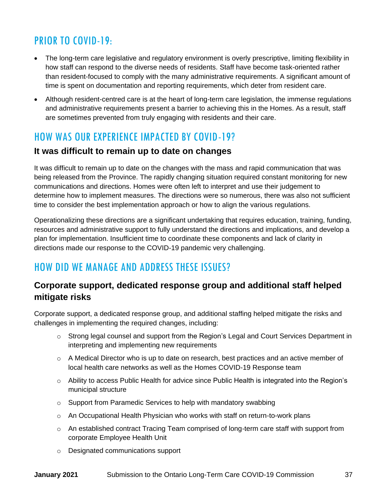## PRIOR TO COVID-19:

- The long-term care legislative and regulatory environment is overly prescriptive, limiting flexibility in how staff can respond to the diverse needs of residents. Staff have become task-oriented rather than resident-focused to comply with the many administrative requirements. A significant amount of time is spent on documentation and reporting requirements, which deter from resident care.
- Although resident-centred care is at the heart of long-term care legislation, the immense regulations and administrative requirements present a barrier to achieving this in the Homes. As a result, staff are sometimes prevented from truly engaging with residents and their care.

### HOW WAS OUR EXPERIENCE IMPACTED BY COVID-19?

### **It was difficult to remain up to date on changes**

It was difficult to remain up to date on the changes with the mass and rapid communication that was being released from the Province. The rapidly changing situation required constant monitoring for new communications and directions. Homes were often left to interpret and use their judgement to determine how to implement measures. The directions were so numerous, there was also not sufficient time to consider the best implementation approach or how to align the various regulations.

Operationalizing these directions are a significant undertaking that requires education, training, funding, resources and administrative support to fully understand the directions and implications, and develop a plan for implementation. Insufficient time to coordinate these components and lack of clarity in directions made our response to the COVID-19 pandemic very challenging.

# HOW DID WE MANAGE AND ADDRESS THESE ISSUES?

### **Corporate support, dedicated response group and additional staff helped mitigate risks**

Corporate support, a dedicated response group, and additional staffing helped mitigate the risks and challenges in implementing the required changes, including:

- $\circ$  Strong legal counsel and support from the Region's Legal and Court Services Department in interpreting and implementing new requirements
- o A Medical Director who is up to date on research, best practices and an active member of local health care networks as well as the Homes COVID-19 Response team
- $\circ$  Ability to access Public Health for advice since Public Health is integrated into the Region's municipal structure
- o Support from Paramedic Services to help with mandatory swabbing
- $\circ$  An Occupational Health Physician who works with staff on return-to-work plans
- o An established contract Tracing Team comprised of long-term care staff with support from corporate Employee Health Unit
- o Designated communications support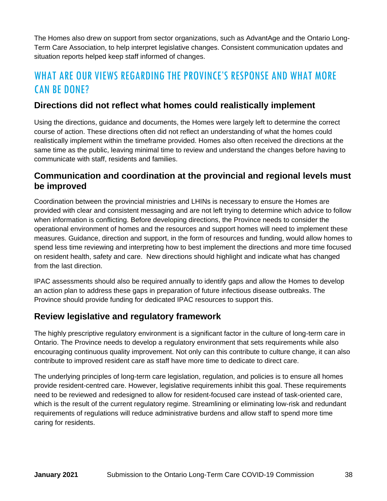The Homes also drew on support from sector organizations, such as AdvantAge and the Ontario Long-Term Care Association, to help interpret legislative changes. Consistent communication updates and situation reports helped keep staff informed of changes.

# WHAT ARE OUR VIEWS REGARDING THE PROVINCE'S RESPONSE AND WHAT MORE CAN BE DONE?

#### **Directions did not reflect what homes could realistically implement**

Using the directions, guidance and documents, the Homes were largely left to determine the correct course of action. These directions often did not reflect an understanding of what the homes could realistically implement within the timeframe provided. Homes also often received the directions at the same time as the public, leaving minimal time to review and understand the changes before having to communicate with staff, residents and families.

### **Communication and coordination at the provincial and regional levels must be improved**

Coordination between the provincial ministries and LHINs is necessary to ensure the Homes are provided with clear and consistent messaging and are not left trying to determine which advice to follow when information is conflicting. Before developing directions, the Province needs to consider the operational environment of homes and the resources and support homes will need to implement these measures. Guidance, direction and support, in the form of resources and funding, would allow homes to spend less time reviewing and interpreting how to best implement the directions and more time focused on resident health, safety and care. New directions should highlight and indicate what has changed from the last direction.

IPAC assessments should also be required annually to identify gaps and allow the Homes to develop an action plan to address these gaps in preparation of future infectious disease outbreaks. The Province should provide funding for dedicated IPAC resources to support this.

### **Review legislative and regulatory framework**

The highly prescriptive regulatory environment is a significant factor in the culture of long-term care in Ontario. The Province needs to develop a regulatory environment that sets requirements while also encouraging continuous quality improvement. Not only can this contribute to culture change, it can also contribute to improved resident care as staff have more time to dedicate to direct care.

The underlying principles of long-term care legislation, regulation, and policies is to ensure all homes provide resident-centred care. However, legislative requirements inhibit this goal. These requirements need to be reviewed and redesigned to allow for resident-focused care instead of task-oriented care, which is the result of the current regulatory regime. Streamlining or eliminating low-risk and redundant requirements of regulations will reduce administrative burdens and allow staff to spend more time caring for residents.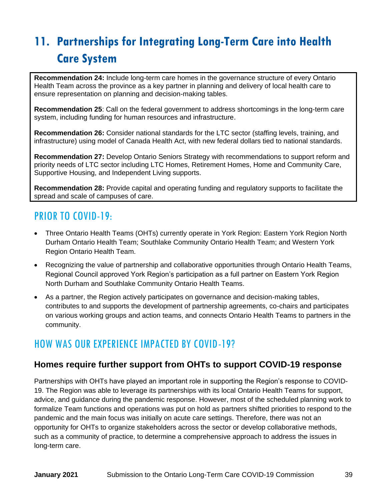# <span id="page-42-0"></span>**11. Partnerships for Integrating Long-Term Care into Health Care System**

**Recommendation 24:** Include long-term care homes in the governance structure of every Ontario Health Team across the province as a key partner in planning and delivery of local health care to ensure representation on planning and decision-making tables.

**Recommendation 25**: Call on the federal government to address shortcomings in the long-term care system, including funding for human resources and infrastructure.

**Recommendation 26:** Consider national standards for the LTC sector (staffing levels, training, and infrastructure) using model of Canada Health Act, with new federal dollars tied to national standards.

**Recommendation 27:** Develop Ontario Seniors Strategy with recommendations to support reform and priority needs of LTC sector including LTC Homes, Retirement Homes, Home and Community Care, Supportive Housing, and Independent Living supports.

**Recommendation 28:** Provide capital and operating funding and regulatory supports to facilitate the spread and scale of campuses of care.

### PRIOR TO COVID-19:

- Three Ontario Health Teams (OHTs) currently operate in York Region: Eastern York Region North Durham Ontario Health Team; Southlake Community Ontario Health Team; and Western York Region Ontario Health Team.
- Recognizing the value of partnership and collaborative opportunities through Ontario Health Teams, Regional Council approved York Region's participation as a full partner on Eastern York Region North Durham and Southlake Community Ontario Health Teams.
- As a partner, the Region actively participates on governance and decision-making tables, contributes to and supports the development of partnership agreements, co-chairs and participates on various working groups and action teams, and connects Ontario Health Teams to partners in the community.

### HOW WAS OUR EXPERIENCE IMPACTED BY COVID-19?

### **Homes require further support from OHTs to support COVID-19 response**

Partnerships with OHTs have played an important role in supporting the Region's response to COVID-19. The Region was able to leverage its partnerships with its local Ontario Health Teams for support, advice, and guidance during the pandemic response. However, most of the scheduled planning work to formalize Team functions and operations was put on hold as partners shifted priorities to respond to the pandemic and the main focus was initially on acute care settings. Therefore, there was not an opportunity for OHTs to organize stakeholders across the sector or develop collaborative methods, such as a community of practice, to determine a comprehensive approach to address the issues in long-term care.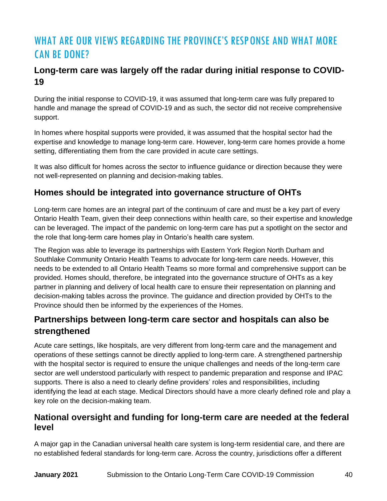# WHAT ARE OUR VIEWS REGARDING THE PROVINCE'S RESPONSE AND WHAT MORE CAN BE DONE?

### **Long-term care was largely off the radar during initial response to COVID-19**

During the initial response to COVID-19, it was assumed that long-term care was fully prepared to handle and manage the spread of COVID-19 and as such, the sector did not receive comprehensive support.

In homes where hospital supports were provided, it was assumed that the hospital sector had the expertise and knowledge to manage long-term care. However, long-term care homes provide a home setting, differentiating them from the care provided in acute care settings.

It was also difficult for homes across the sector to influence guidance or direction because they were not well-represented on planning and decision-making tables.

### **Homes should be integrated into governance structure of OHTs**

Long-term care homes are an integral part of the continuum of care and must be a key part of every Ontario Health Team, given their deep connections within health care, so their expertise and knowledge can be leveraged. The impact of the pandemic on long-term care has put a spotlight on the sector and the role that long-term care homes play in Ontario's health care system.

The Region was able to leverage its partnerships with Eastern York Region North Durham and Southlake Community Ontario Health Teams to advocate for long-term care needs. However, this needs to be extended to all Ontario Health Teams so more formal and comprehensive support can be provided. Homes should, therefore, be integrated into the governance structure of OHTs as a key partner in planning and delivery of local health care to ensure their representation on planning and decision-making tables across the province. The guidance and direction provided by OHTs to the Province should then be informed by the experiences of the Homes.

### **Partnerships between long-term care sector and hospitals can also be strengthened**

Acute care settings, like hospitals, are very different from long-term care and the management and operations of these settings cannot be directly applied to long-term care. A strengthened partnership with the hospital sector is required to ensure the unique challenges and needs of the long-term care sector are well understood particularly with respect to pandemic preparation and response and IPAC supports. There is also a need to clearly define providers' roles and responsibilities, including identifying the lead at each stage. Medical Directors should have a more clearly defined role and play a key role on the decision-making team.

#### **National oversight and funding for long-term care are needed at the federal level**

A major gap in the Canadian universal health care system is long-term residential care, and there are no established federal standards for long-term care. Across the country, jurisdictions offer a different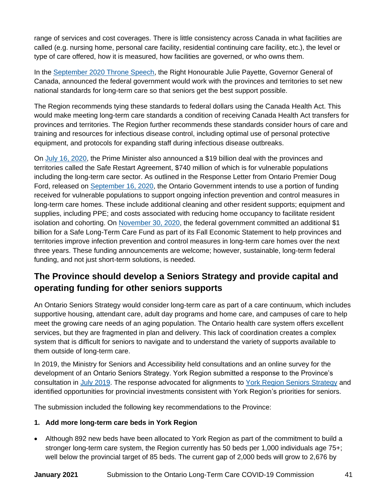range of services and cost coverages. There is little consistency across Canada in what facilities are called (e.g. nursing home, personal care facility, residential continuing care facility, etc.), the level or type of care offered, how it is measured, how facilities are governed, or who owns them.

In the [September 2020 Throne Speech,](https://www.canada.ca/en/privy-council/campaigns/speech-throne/2020/speech-from-the-throne.html) the Right Honourable Julie Payette, Governor General of Canada, announced the federal government would work with the provinces and territories to set new national standards for long-term care so that seniors get the best support possible.

The Region recommends tying these standards to federal dollars using the Canada Health Act. This would make meeting long-term care standards a condition of receiving Canada Health Act transfers for provinces and territories. The Region further recommends these standards consider hours of care and training and resources for infectious disease control, including optimal use of personal protective equipment, and protocols for expanding staff during infectious disease outbreaks.

On [July 16, 2020,](https://pm.gc.ca/en/news/news-releases/2020/07/16/more-support-canadians-through-safe-restart-agreement) the Prime Minister also announced a \$19 billion deal with the provinces and territories called the Safe Restart Agreement, \$740 million of which is for vulnerable populations including the long-term care sector. As outlined in the Response Letter from Ontario Premier Doug Ford, released on [September 16, 2020,](https://www.canada.ca/en/intergovernmental-affairs/services/safe-restart-agreement/letters/ontario.html) the Ontario Government intends to use a portion of funding received for vulnerable populations to support ongoing infection prevention and control measures in long-term care homes. These include additional cleaning and other resident supports; equipment and supplies, including PPE; and costs associated with reducing home occupancy to facilitate resident isolation and cohorting. On [November 30, 2020,](https://www.budget.gc.ca/fes-eea/2020/report-rapport/toc-tdm-en.html) the federal government committed an additional \$1 billion for a Safe Long-Term Care Fund as part of its Fall Economic Statement to help provinces and territories improve infection prevention and control measures in long-term care homes over the next three years. These funding announcements are welcome; however, sustainable, long-term federal funding, and not just short-term solutions, is needed.

### **The Province should develop a Seniors Strategy and provide capital and operating funding for other seniors supports**

An Ontario Seniors Strategy would consider long-term care as part of a care continuum, which includes supportive housing, attendant care, adult day programs and home care, and campuses of care to help meet the growing care needs of an aging population. The Ontario health care system offers excellent services, but they are fragmented in plan and delivery. This lack of coordination creates a complex system that is difficult for seniors to navigate and to understand the variety of supports available to them outside of long-term care.

In 2019, the Ministry for Seniors and Accessibility held consultations and an online survey for the development of an Ontario Seniors Strategy. York Region submitted a response to the Province's consultation in [July 2019.](https://yorkpublishing.escribemeetings.com/filestream.ashx?DocumentId=7707) The response advocated for alignments to [York Region Seniors Strategy](https://www.york.ca/wps/wcm/connect/yorkpublic/2d5d45ba-1f1f-4f0f-9155-6b2371da440e/YR+Seniors+Strategy.pdf?MOD=AJPERES&CVID=mu9bx75) and identified opportunities for provincial investments consistent with York Region's priorities for seniors.

The submission included the following key recommendations to the Province:

#### **1. Add more long-term care beds in York Region**

• Although 892 new beds have been allocated to York Region as part of the commitment to build a stronger long-term care system, the Region currently has 50 beds per 1,000 individuals age 75+; well below the provincial target of 85 beds. The current gap of 2,000 beds will grow to 2,676 by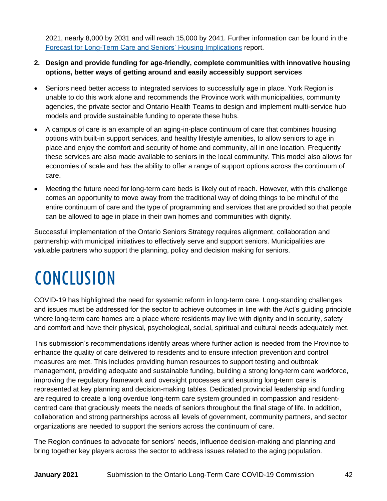2021, nearly 8,000 by 2031 and will reach 15,000 by 2041. Further information can be found in the [Forecast for Long-Term Care and Seniors' Housing Implications](https://yorkpublishing.escribemeetings.com/filestream.ashx?DocumentId=17179) report.

#### **2. Design and provide funding for age-friendly, complete communities with innovative housing options, better ways of getting around and easily accessibly support services**

- Seniors need better access to integrated services to successfully age in place. York Region is unable to do this work alone and recommends the Province work with municipalities, community agencies, the private sector and Ontario Health Teams to design and implement multi-service hub models and provide sustainable funding to operate these hubs.
- A campus of care is an example of an aging-in-place continuum of care that combines housing options with built-in support services, and healthy lifestyle amenities, to allow seniors to age in place and enjoy the comfort and security of home and community, all in one location. Frequently these services are also made available to seniors in the local community. This model also allows for economies of scale and has the ability to offer a range of support options across the continuum of care.
- Meeting the future need for long-term care beds is likely out of reach. However, with this challenge comes an opportunity to move away from the traditional way of doing things to be mindful of the entire continuum of care and the type of programming and services that are provided so that people can be allowed to age in place in their own homes and communities with dignity.

Successful implementation of the Ontario Seniors Strategy requires alignment, collaboration and partnership with municipal initiatives to effectively serve and support seniors. Municipalities are valuable partners who support the planning, policy and decision making for seniors.

# <span id="page-45-0"></span>**CONCLUSION**

COVID-19 has highlighted the need for systemic reform in long-term care. Long-standing challenges and issues must be addressed for the sector to achieve outcomes in line with the Act's guiding principle where long-term care homes are a place where residents may live with dignity and in security, safety and comfort and have their physical, psychological, social, spiritual and cultural needs adequately met.

This submission's recommendations identify areas where further action is needed from the Province to enhance the quality of care delivered to residents and to ensure infection prevention and control measures are met. This includes providing human resources to support testing and outbreak management, providing adequate and sustainable funding, building a strong long-term care workforce, improving the regulatory framework and oversight processes and ensuring long-term care is represented at key planning and decision-making tables. Dedicated provincial leadership and funding are required to create a long overdue long-term care system grounded in compassion and residentcentred care that graciously meets the needs of seniors throughout the final stage of life. In addition, collaboration and strong partnerships across all levels of government, community partners, and sector organizations are needed to support the seniors across the continuum of care.

The Region continues to advocate for seniors' needs, influence decision-making and planning and bring together key players across the sector to address issues related to the aging population.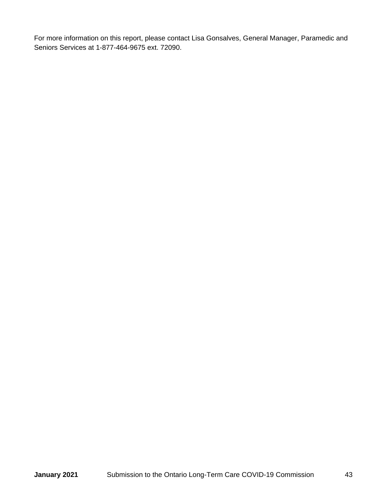<span id="page-46-0"></span>For more information on this report, please contact Lisa Gonsalves, General Manager, Paramedic and Seniors Services at 1-877-464-9675 ext. 72090.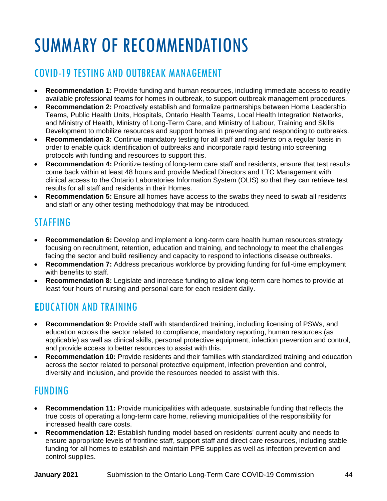# SUMMARY OF RECOMMENDATIONS

# COVID-19 TESTING AND OUTBREAK MANAGEMENT

- **Recommendation 1:** Provide funding and human resources, including immediate access to readily available professional teams for homes in outbreak, to support outbreak management procedures.
- **Recommendation 2:** Proactively establish and formalize partnerships between Home Leadership Teams, Public Health Units, Hospitals, Ontario Health Teams, Local Health Integration Networks, and Ministry of Health, Ministry of Long-Term Care, and Ministry of Labour, Training and Skills Development to mobilize resources and support homes in preventing and responding to outbreaks.
- **Recommendation 3:** Continue mandatory testing for all staff and residents on a regular basis in order to enable quick identification of outbreaks and incorporate rapid testing into screening protocols with funding and resources to support this.
- **Recommendation 4:** Prioritize testing of long-term care staff and residents, ensure that test results come back within at least 48 hours and provide Medical Directors and LTC Management with clinical access to the Ontario Laboratories Information System (OLIS) so that they can retrieve test results for all staff and residents in their Homes.
- **Recommendation 5:** Ensure all homes have access to the swabs they need to swab all residents and staff or any other testing methodology that may be introduced.

# STAFFING

- **Recommendation 6:** Develop and implement a long-term care health human resources strategy focusing on recruitment, retention, education and training, and technology to meet the challenges facing the sector and build resiliency and capacity to respond to infections disease outbreaks.
- **Recommendation 7:** Address precarious workforce by providing funding for full-time employment with benefits to staff.
- **Recommendation 8:** Legislate and increase funding to allow long-term care homes to provide at least four hours of nursing and personal care for each resident daily.

# **E**DUCATION AND TRAINING

- **Recommendation 9:** Provide staff with standardized training, including licensing of PSWs, and education across the sector related to compliance, mandatory reporting, human resources (as applicable) as well as clinical skills, personal protective equipment, infection prevention and control, and provide access to better resources to assist with this.
- **Recommendation 10:** Provide residents and their families with standardized training and education across the sector related to personal protective equipment, infection prevention and control, diversity and inclusion, and provide the resources needed to assist with this.

# FUNDING

- **Recommendation 11:** Provide municipalities with adequate, sustainable funding that reflects the true costs of operating a long-term care home, relieving municipalities of the responsibility for increased health care costs.
- **Recommendation 12:** Establish funding model based on residents' current acuity and needs to ensure appropriate levels of frontline staff, support staff and direct care resources, including stable funding for all homes to establish and maintain PPE supplies as well as infection prevention and control supplies.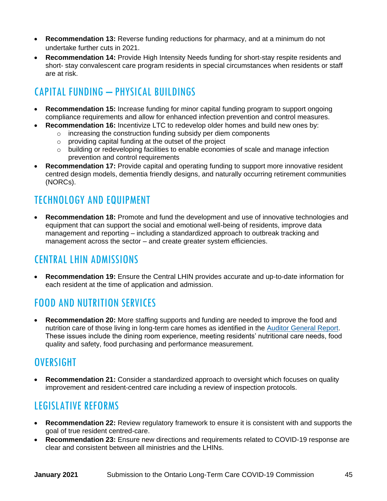- **Recommendation 13:** Reverse funding reductions for pharmacy, and at a minimum do not undertake further cuts in 2021.
- **Recommendation 14:** Provide High Intensity Needs funding for short-stay respite residents and short- stay convalescent care program residents in special circumstances when residents or staff are at risk.

# CAPITAL FUNDING – PHYSICAL BUILDINGS

- **Recommendation 15:** Increase funding for minor capital funding program to support ongoing compliance requirements and allow for enhanced infection prevention and control measures.
- **Recommendation 16:** Incentivize LTC to redevelop older homes and build new ones by:
	- $\circ$  increasing the construction funding subsidy per diem components
		- o providing capital funding at the outset of the project
		- o building or redeveloping facilities to enable economies of scale and manage infection prevention and control requirements
- **Recommendation 17:** Provide capital and operating funding to support more innovative resident centred design models, dementia friendly designs, and naturally occurring retirement communities (NORCs).

# TECHNOLOGY AND EQUIPMENT

• **Recommendation 18:** Promote and fund the development and use of innovative technologies and equipment that can support the social and emotional well-being of residents, improve data management and reporting – including a standardized approach to outbreak tracking and management across the sector – and create greater system efficiencies.

### CENTRAL LHIN ADMISSIONS

• **Recommendation 19:** Ensure the Central LHIN provides accurate and up-to-date information for each resident at the time of application and admission.

# FOOD AND NUTRITION SERVICES

• **Recommendation 20:** More staffing supports and funding are needed to improve the food and nutrition care of those living in long-term care homes as identified in the [Auditor General Report.](https://www.auditor.on.ca/en/content/annualreports/arreports/en19/v1_305en19.pdf) These issues include the dining room experience, meeting residents' nutritional care needs, food quality and safety, food purchasing and performance measurement.

### **OVERSIGHT**

• **Recommendation 21:** Consider a standardized approach to oversight which focuses on quality improvement and resident-centred care including a review of inspection protocols.

# LEGISLATIVE REFORMS

- **Recommendation 22:** Review regulatory framework to ensure it is consistent with and supports the goal of true resident centred-care.
- **Recommendation 23:** Ensure new directions and requirements related to COVID-19 response are clear and consistent between all ministries and the LHINs.